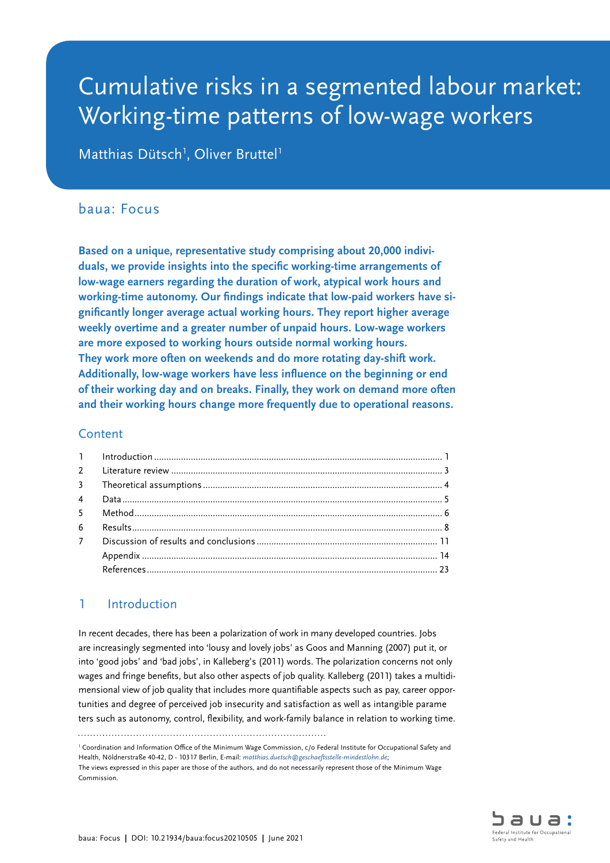# Cumulative risks in a segmented labour market: Working-time patterns of low-wage workers

Matthias Dütsch<sup>1</sup>, Oliver Bruttel<sup>1</sup>

## baua: Focus

**Based on a unique, representative study comprising about 20,000 individuals, we provide insights into the specific working-time arrangements of low-wage earners regarding the duration of work, atypical work hours and working-time autonomy. Our findings indicate that low-paid workers have significantly longer average actual working hours. They report higher average weekly overtime and a greater number of unpaid hours. Low-wage workers are more exposed to working hours outside normal working hours. They work more often on weekends and do more rotating day-shift work. Additionally, low-wage workers have less influence on the beginning or end of their working day and on breaks. Finally, they work on demand more often and their working hours change more frequently due to operational reasons.**

## Content

| 7 <sup>7</sup> |  |
|----------------|--|
|                |  |
|                |  |
|                |  |

## 1 Introduction

In recent decades, there has been a polarization of work in many developed countries. Jobs are increasingly segmented into 'lousy and lovely jobs' as Goos and Manning (2007) put it, or into 'good jobs' and 'bad jobs', in Kalleberg's (2011) words. The polarization concerns not only wages and fringe benefits, but also other aspects of job quality. Kalleberg (2011) takes a multidimensional view of job quality that includes more quantifiable aspects such as pay, career opportunities and degree of perceived job insecurity and satisfaction as well as intangible parame ters such as autonomy, control, flexibility, and work-family balance in relation to working time.

<sup>&</sup>lt;sup>1</sup> Coordination and Information Office of the Minimum Wage Commission, c/o Federal Institute for Occupational Safety and Health, Nöldnerstraße 40-42, D - 10317 Berlin, E-mail: *[matthias.duetsch@geschaeftsstelle-mindestlohn.de](mailto:matthias.duetsch%40geschaeftsstelle-mindestlohn.de?subject=)*;

The views expressed in this paper are those of the authors, and do not necessarily represent those of the Minimum Wage Commission.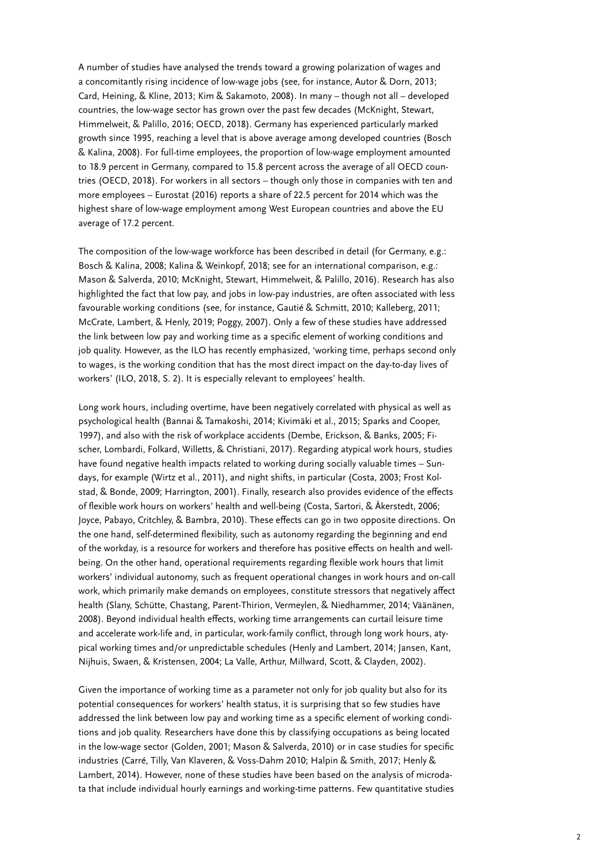A number of studies have analysed the trends toward a growing polarization of wages and a concomitantly rising incidence of low-wage jobs (see, for instance, Autor & Dorn, 2013; Card, Heining, & Kline, 2013; Kim & Sakamoto, 2008). In many – though not all – developed countries, the low-wage sector has grown over the past few decades (McKnight, Stewart, Himmelweit, & Palillo, 2016; OECD, 2018). Germany has experienced particularly marked growth since 1995, reaching a level that is above average among developed countries (Bosch & Kalina, 2008). For full-time employees, the proportion of low-wage employment amounted to 18.9 percent in Germany, compared to 15.8 percent across the average of all OECD countries (OECD, 2018). For workers in all sectors – though only those in companies with ten and more employees – Eurostat (2016) reports a share of 22.5 percent for 2014 which was the highest share of low-wage employment among West European countries and above the EU average of 17.2 percent.

The composition of the low-wage workforce has been described in detail (for Germany, e.g.: Bosch & Kalina, 2008; Kalina & Weinkopf, 2018; see for an international comparison, e.g.: Mason & Salverda, 2010; McKnight, Stewart, Himmelweit, & Palillo, 2016). Research has also highlighted the fact that low pay, and jobs in low-pay industries, are often associated with less favourable working conditions (see, for instance, Gautié & Schmitt, 2010; Kalleberg, 2011; McCrate, Lambert, & Henly, 2019; Poggy, 2007). Only a few of these studies have addressed the link between low pay and working time as a specific element of working conditions and job quality. However, as the ILO has recently emphasized, 'working time, perhaps second only to wages, is the working condition that has the most direct impact on the day-to-day lives of workers' (ILO, 2018, S. 2). It is especially relevant to employees' health.

Long work hours, including overtime, have been negatively correlated with physical as well as psychological health (Bannai & Tamakoshi, 2014; Kivimäki et al., 2015; Sparks and Cooper, 1997), and also with the risk of workplace accidents (Dembe, Erickson, & Banks, 2005; Fischer, Lombardi, Folkard, Willetts, & Christiani, 2017). Regarding atypical work hours, studies have found negative health impacts related to working during socially valuable times – Sundays, for example (Wirtz et al., 2011), and night shifts, in particular (Costa, 2003; Frost Kolstad, & Bonde, 2009; Harrington, 2001). Finally, research also provides evidence of the effects of flexible work hours on workers' health and well-being (Costa, Sartori, & Åkerstedt, 2006; Joyce, Pabayo, Critchley, & Bambra, 2010). These effects can go in two opposite directions. On the one hand, self-determined flexibility, such as autonomy regarding the beginning and end of the workday, is a resource for workers and therefore has positive effects on health and wellbeing. On the other hand, operational requirements regarding flexible work hours that limit workers' individual autonomy, such as frequent operational changes in work hours and on-call work, which primarily make demands on employees, constitute stressors that negatively affect health (Slany, Schütte, Chastang, Parent-Thirion, Vermeylen, & Niedhammer, 2014; Väänänen, 2008). Beyond individual health effects, working time arrangements can curtail leisure time and accelerate work-life and, in particular, work-family conflict, through long work hours, atypical working times and/or unpredictable schedules (Henly and Lambert, 2014; Jansen, Kant, Nijhuis, Swaen, & Kristensen, 2004; La Valle, Arthur, Millward, Scott, & Clayden, 2002).

Given the importance of working time as a parameter not only for job quality but also for its potential consequences for workers' health status, it is surprising that so few studies have addressed the link between low pay and working time as a specific element of working conditions and job quality. Researchers have done this by classifying occupations as being located in the low-wage sector (Golden, 2001; Mason & Salverda, 2010) or in case studies for specific industries (Carré, Tilly, Van Klaveren, & Voss-Dahm 2010; Halpin & Smith, 2017; Henly & Lambert, 2014). However, none of these studies have been based on the analysis of microdata that include individual hourly earnings and working-time patterns. Few quantitative studies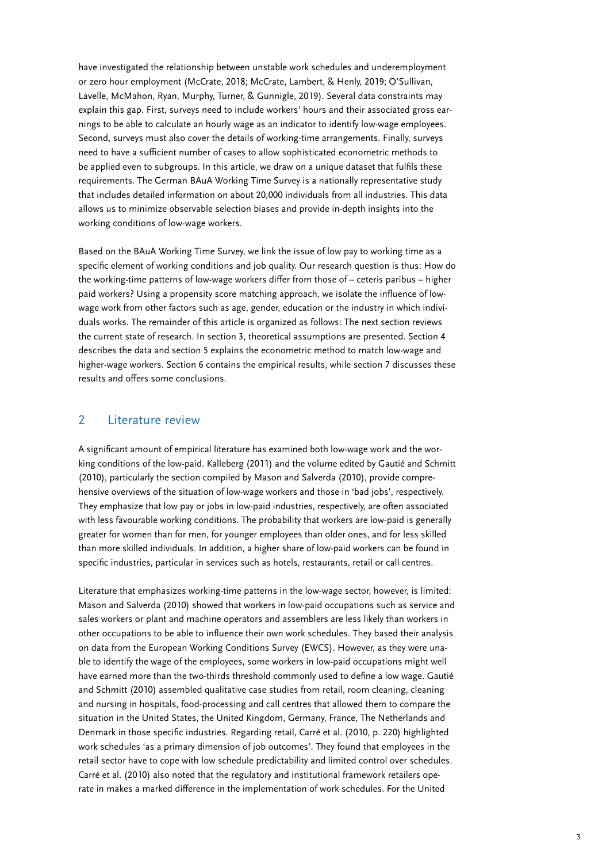<span id="page-2-0"></span>have investigated the relationship between unstable work schedules and underemployment or zero hour employment (McCrate, 2018; McCrate, Lambert, & Henly, 2019; O'Sullivan, Lavelle, McMahon, Ryan, Murphy, Turner, & Gunnigle, 2019). Several data constraints may explain this gap. First, surveys need to include workers' hours and their associated gross earnings to be able to calculate an hourly wage as an indicator to identify low-wage employees. Second, surveys must also cover the details of working-time arrangements. Finally, surveys need to have a sufficient number of cases to allow sophisticated econometric methods to be applied even to subgroups. In this article, we draw on a unique dataset that fulfils these requirements. The German BAuA Working Time Survey is a nationally representative study that includes detailed information on about 20,000 individuals from all industries. This data allows us to minimize observable selection biases and provide in-depth insights into the working conditions of low-wage workers.

Based on the BAuA Working Time Survey, we link the issue of low pay to working time as a specific element of working conditions and job quality. Our research question is thus: How do the working-time patterns of low-wage workers differ from those of – ceteris paribus – higher paid workers? Using a propensity score matching approach, we isolate the influence of lowwage work from other factors such as age, gender, education or the industry in which individuals works. The remainder of this article is organized as follows: The next section reviews the current state of research. In section 3, theoretical assumptions are presented. Section 4 describes the data and section 5 explains the econometric method to match low-wage and higher-wage workers. Section 6 contains the empirical results, while section 7 discusses these results and offers some conclusions.

### 2 Literature review

A significant amount of empirical literature has examined both low-wage work and the working conditions of the low-paid. Kalleberg (2011) and the volume edited by Gautié and Schmitt (2010), particularly the section compiled by Mason and Salverda (2010), provide comprehensive overviews of the situation of low-wage workers and those in 'bad jobs', respectively. They emphasize that low pay or jobs in low-paid industries, respectively, are often associated with less favourable working conditions. The probability that workers are low-paid is generally greater for women than for men, for younger employees than older ones, and for less skilled than more skilled individuals. In addition, a higher share of low-paid workers can be found in specific industries, particular in services such as hotels, restaurants, retail or call centres.

Literature that emphasizes working-time patterns in the low-wage sector, however, is limited: Mason and Salverda (2010) showed that workers in low-paid occupations such as service and sales workers or plant and machine operators and assemblers are less likely than workers in other occupations to be able to influence their own work schedules. They based their analysis on data from the European Working Conditions Survey (EWCS). However, as they were unable to identify the wage of the employees, some workers in low-paid occupations might well have earned more than the two-thirds threshold commonly used to define a low wage. Gautié and Schmitt (2010) assembled qualitative case studies from retail, room cleaning, cleaning and nursing in hospitals, food-processing and call centres that allowed them to compare the situation in the United States, the United Kingdom, Germany, France, The Netherlands and Denmark in those specific industries. Regarding retail, Carré et al. (2010, p. 220) highlighted work schedules 'as a primary dimension of job outcomes'. They found that employees in the retail sector have to cope with low schedule predictability and limited control over schedules. Carré et al. (2010) also noted that the regulatory and institutional framework retailers operate in makes a marked difference in the implementation of work schedules. For the United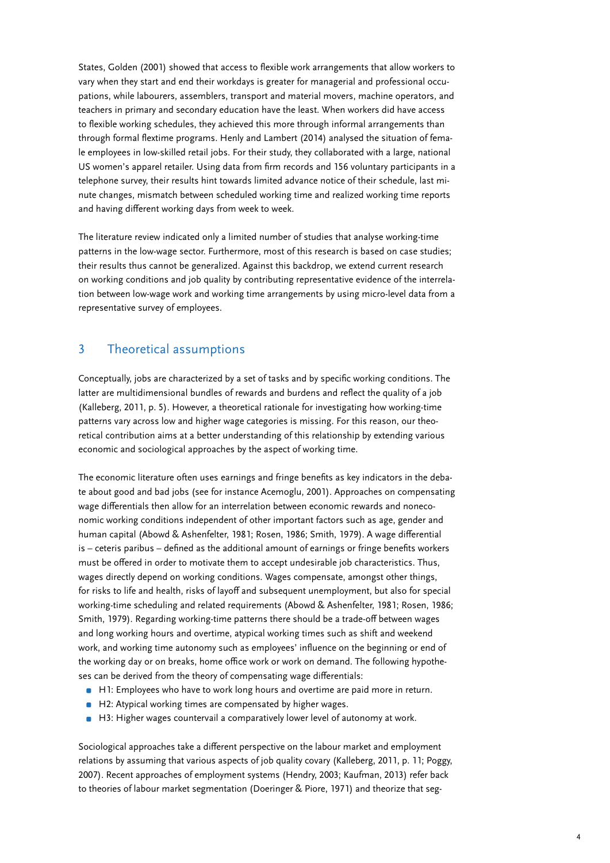<span id="page-3-0"></span>States, Golden (2001) showed that access to flexible work arrangements that allow workers to vary when they start and end their workdays is greater for managerial and professional occupations, while labourers, assemblers, transport and material movers, machine operators, and teachers in primary and secondary education have the least. When workers did have access to flexible working schedules, they achieved this more through informal arrangements than through formal flextime programs. Henly and Lambert (2014) analysed the situation of female employees in low-skilled retail jobs. For their study, they collaborated with a large, national US women's apparel retailer. Using data from firm records and 156 voluntary participants in a telephone survey, their results hint towards limited advance notice of their schedule, last minute changes, mismatch between scheduled working time and realized working time reports and having different working days from week to week.

The literature review indicated only a limited number of studies that analyse working-time patterns in the low-wage sector. Furthermore, most of this research is based on case studies; their results thus cannot be generalized. Against this backdrop, we extend current research on working conditions and job quality by contributing representative evidence of the interrelation between low-wage work and working time arrangements by using micro-level data from a representative survey of employees.

## 3 Theoretical assumptions

Conceptually, jobs are characterized by a set of tasks and by specific working conditions. The latter are multidimensional bundles of rewards and burdens and reflect the quality of a job (Kalleberg, 2011, p. 5). However, a theoretical rationale for investigating how working-time patterns vary across low and higher wage categories is missing. For this reason, our theoretical contribution aims at a better understanding of this relationship by extending various economic and sociological approaches by the aspect of working time.

The economic literature often uses earnings and fringe benefits as key indicators in the debate about good and bad jobs (see for instance Acemoglu, 2001). Approaches on compensating wage differentials then allow for an interrelation between economic rewards and noneconomic working conditions independent of other important factors such as age, gender and human capital (Abowd & Ashenfelter, 1981; Rosen, 1986; Smith, 1979). A wage differential is – ceteris paribus – defined as the additional amount of earnings or fringe benefits workers must be offered in order to motivate them to accept undesirable job characteristics. Thus, wages directly depend on working conditions. Wages compensate, amongst other things, for risks to life and health, risks of layoff and subsequent unemployment, but also for special working-time scheduling and related requirements (Abowd & Ashenfelter, 1981; Rosen, 1986; Smith, 1979). Regarding working-time patterns there should be a trade-off between wages and long working hours and overtime, atypical working times such as shift and weekend work, and working time autonomy such as employees' influence on the beginning or end of the working day or on breaks, home office work or work on demand. The following hypotheses can be derived from the theory of compensating wage differentials:

- **•** H1: Employees who have to work long hours and overtime are paid more in return.
- H2: Atypical working times are compensated by higher wages.
- H3: Higher wages countervail a comparatively lower level of autonomy at work.

Sociological approaches take a different perspective on the labour market and employment relations by assuming that various aspects of job quality covary (Kalleberg, 2011, p. 11; Poggy, 2007). Recent approaches of employment systems (Hendry, 2003; Kaufman, 2013) refer back to theories of labour market segmentation (Doeringer & Piore, 1971) and theorize that seg-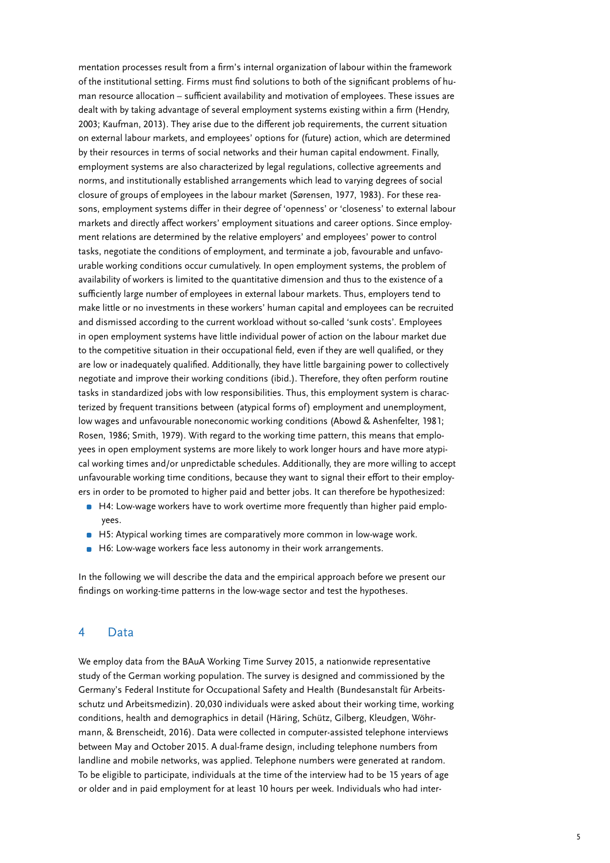<span id="page-4-0"></span>mentation processes result from a firm's internal organization of labour within the framework of the institutional setting. Firms must find solutions to both of the significant problems of human resource allocation – sufficient availability and motivation of employees. These issues are dealt with by taking advantage of several employment systems existing within a firm (Hendry, 2003; Kaufman, 2013). They arise due to the different job requirements, the current situation on external labour markets, and employees' options for (future) action, which are determined by their resources in terms of social networks and their human capital endowment. Finally, employment systems are also characterized by legal regulations, collective agreements and norms, and institutionally established arrangements which lead to varying degrees of social closure of groups of employees in the labour market (Sørensen, 1977, 1983). For these reasons, employment systems differ in their degree of 'openness' or 'closeness' to external labour markets and directly affect workers' employment situations and career options. Since employment relations are determined by the relative employers' and employees' power to control tasks, negotiate the conditions of employment, and terminate a job, favourable and unfavourable working conditions occur cumulatively. In open employment systems, the problem of availability of workers is limited to the quantitative dimension and thus to the existence of a sufficiently large number of employees in external labour markets. Thus, employers tend to make little or no investments in these workers' human capital and employees can be recruited and dismissed according to the current workload without so-called 'sunk costs'. Employees in open employment systems have little individual power of action on the labour market due to the competitive situation in their occupational field, even if they are well qualified, or they are low or inadequately qualified. Additionally, they have little bargaining power to collectively negotiate and improve their working conditions (ibid.). Therefore, they often perform routine tasks in standardized jobs with low responsibilities. Thus, this employment system is characterized by frequent transitions between (atypical forms of) employment and unemployment, low wages and unfavourable noneconomic working conditions (Abowd & Ashenfelter, 1981; Rosen, 1986; Smith, 1979). With regard to the working time pattern, this means that employees in open employment systems are more likely to work longer hours and have more atypical working times and/or unpredictable schedules. Additionally, they are more willing to accept unfavourable working time conditions, because they want to signal their effort to their employers in order to be promoted to higher paid and better jobs. It can therefore be hypothesized:

- **H4: Low-wage workers have to work overtime more frequently than higher paid emplo**yees.
- H5: Atypical working times are comparatively more common in low-wage work.
- **•** H6: Low-wage workers face less autonomy in their work arrangements.

In the following we will describe the data and the empirical approach before we present our findings on working-time patterns in the low-wage sector and test the hypotheses.

#### 4 Data

We employ data from the BAuA Working Time Survey 2015, a nationwide representative study of the German working population. The survey is designed and commissioned by the Germany's Federal Institute for Occupational Safety and Health (Bundesanstalt für Arbeitsschutz und Arbeitsmedizin). 20,030 individuals were asked about their working time, working conditions, health and demographics in detail (Häring, Schütz, Gilberg, Kleudgen, Wöhrmann, & Brenscheidt, 2016). Data were collected in computer-assisted telephone interviews between May and October 2015. A dual-frame design, including telephone numbers from landline and mobile networks, was applied. Telephone numbers were generated at random. To be eligible to participate, individuals at the time of the interview had to be 15 years of age or older and in paid employment for at least 10 hours per week. Individuals who had inter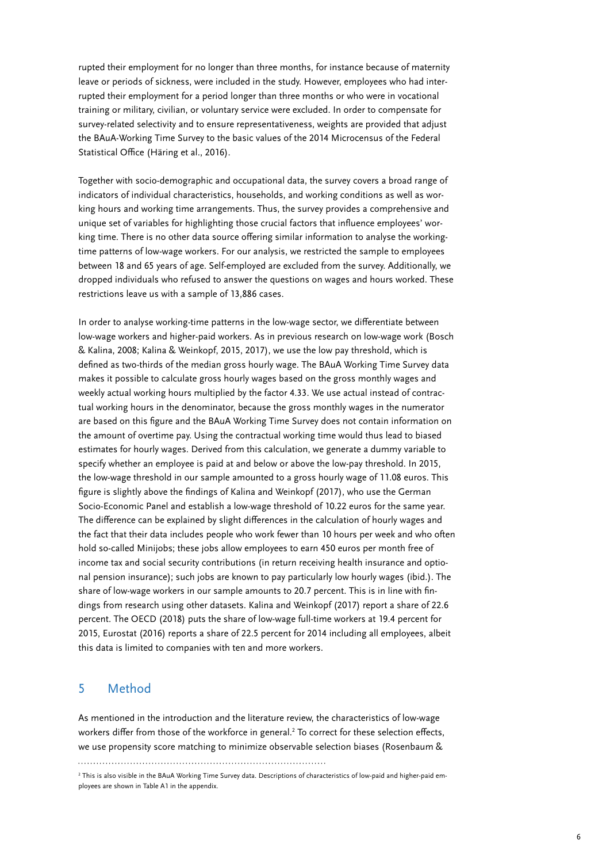<span id="page-5-0"></span>rupted their employment for no longer than three months, for instance because of maternity leave or periods of sickness, were included in the study. However, employees who had interrupted their employment for a period longer than three months or who were in vocational training or military, civilian, or voluntary service were excluded. In order to compensate for survey-related selectivity and to ensure representativeness, weights are provided that adjust the BAuA-Working Time Survey to the basic values of the 2014 Microcensus of the Federal Statistical Office (Häring et al., 2016).

Together with socio-demographic and occupational data, the survey covers a broad range of indicators of individual characteristics, households, and working conditions as well as working hours and working time arrangements. Thus, the survey provides a comprehensive and unique set of variables for highlighting those crucial factors that influence employees' working time. There is no other data source offering similar information to analyse the workingtime patterns of low-wage workers. For our analysis, we restricted the sample to employees between 18 and 65 years of age. Self-employed are excluded from the survey. Additionally, we dropped individuals who refused to answer the questions on wages and hours worked. These restrictions leave us with a sample of 13,886 cases.

In order to analyse working-time patterns in the low-wage sector, we differentiate between low-wage workers and higher-paid workers. As in previous research on low-wage work (Bosch & Kalina, 2008; Kalina & Weinkopf, 2015, 2017), we use the low pay threshold, which is defined as two-thirds of the median gross hourly wage. The BAuA Working Time Survey data makes it possible to calculate gross hourly wages based on the gross monthly wages and weekly actual working hours multiplied by the factor 4.33. We use actual instead of contractual working hours in the denominator, because the gross monthly wages in the numerator are based on this figure and the BAuA Working Time Survey does not contain information on the amount of overtime pay. Using the contractual working time would thus lead to biased estimates for hourly wages. Derived from this calculation, we generate a dummy variable to specify whether an employee is paid at and below or above the low-pay threshold. In 2015, the low-wage threshold in our sample amounted to a gross hourly wage of 11.08 euros. This figure is slightly above the findings of Kalina and Weinkopf (2017), who use the German Socio-Economic Panel and establish a low-wage threshold of 10.22 euros for the same year. The difference can be explained by slight differences in the calculation of hourly wages and the fact that their data includes people who work fewer than 10 hours per week and who often hold so-called Minijobs; these jobs allow employees to earn 450 euros per month free of income tax and social security contributions (in return receiving health insurance and optional pension insurance); such jobs are known to pay particularly low hourly wages (ibid.). The share of low-wage workers in our sample amounts to 20.7 percent. This is in line with findings from research using other datasets. Kalina and Weinkopf (2017) report a share of 22.6 percent. The OECD (2018) puts the share of low-wage full-time workers at 19.4 percent for 2015, Eurostat (2016) reports a share of 22.5 percent for 2014 including all employees, albeit this data is limited to companies with ten and more workers.

### 5 Method

As mentioned in the introduction and the literature review, the characteristics of low-wage workers differ from those of the workforce in general.<sup>2</sup> To correct for these selection effects, we use propensity score matching to minimize observable selection biases (Rosenbaum &

<sup>2</sup> This is also visible in the BAuA Working Time Survey data. Descriptions of characteristics of low-paid and higher-paid employees are shown in Table A1 in the appendix.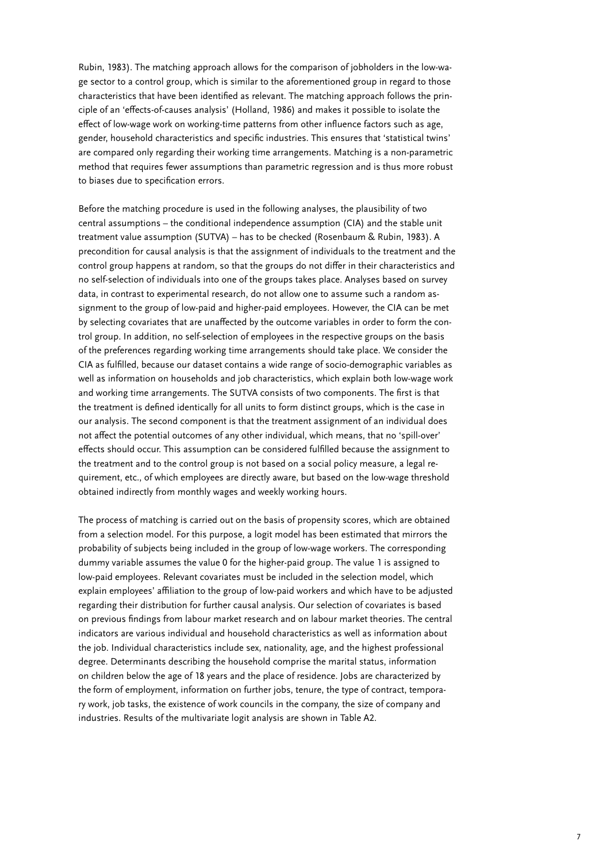Rubin, 1983). The matching approach allows for the comparison of jobholders in the low-wage sector to a control group, which is similar to the aforementioned group in regard to those characteristics that have been identified as relevant. The matching approach follows the principle of an 'effects-of-causes analysis' (Holland, 1986) and makes it possible to isolate the effect of low-wage work on working-time patterns from other influence factors such as age, gender, household characteristics and specific industries. This ensures that 'statistical twins' are compared only regarding their working time arrangements. Matching is a non-parametric method that requires fewer assumptions than parametric regression and is thus more robust to biases due to specification errors.

Before the matching procedure is used in the following analyses, the plausibility of two central assumptions – the conditional independence assumption (CIA) and the stable unit treatment value assumption (SUTVA) – has to be checked (Rosenbaum & Rubin, 1983). A precondition for causal analysis is that the assignment of individuals to the treatment and the control group happens at random, so that the groups do not differ in their characteristics and no self-selection of individuals into one of the groups takes place. Analyses based on survey data, in contrast to experimental research, do not allow one to assume such a random assignment to the group of low-paid and higher-paid employees. However, the CIA can be met by selecting covariates that are unaffected by the outcome variables in order to form the control group. In addition, no self-selection of employees in the respective groups on the basis of the preferences regarding working time arrangements should take place. We consider the CIA as fulfilled, because our dataset contains a wide range of socio-demographic variables as well as information on households and job characteristics, which explain both low-wage work and working time arrangements. The SUTVA consists of two components. The first is that the treatment is defined identically for all units to form distinct groups, which is the case in our analysis. The second component is that the treatment assignment of an individual does not affect the potential outcomes of any other individual, which means, that no 'spill-over' effects should occur. This assumption can be considered fulfilled because the assignment to the treatment and to the control group is not based on a social policy measure, a legal requirement, etc., of which employees are directly aware, but based on the low-wage threshold obtained indirectly from monthly wages and weekly working hours.

The process of matching is carried out on the basis of propensity scores, which are obtained from a selection model. For this purpose, a logit model has been estimated that mirrors the probability of subjects being included in the group of low-wage workers. The corresponding dummy variable assumes the value 0 for the higher-paid group. The value 1 is assigned to low-paid employees. Relevant covariates must be included in the selection model, which explain employees' affiliation to the group of low-paid workers and which have to be adjusted regarding their distribution for further causal analysis. Our selection of covariates is based on previous findings from labour market research and on labour market theories. The central indicators are various individual and household characteristics as well as information about the job. Individual characteristics include sex, nationality, age, and the highest professional degree. Determinants describing the household comprise the marital status, information on children below the age of 18 years and the place of residence. Jobs are characterized by the form of employment, information on further jobs, tenure, the type of contract, temporary work, job tasks, the existence of work councils in the company, the size of company and industries. Results of the multivariate logit analysis are shown in Table A2.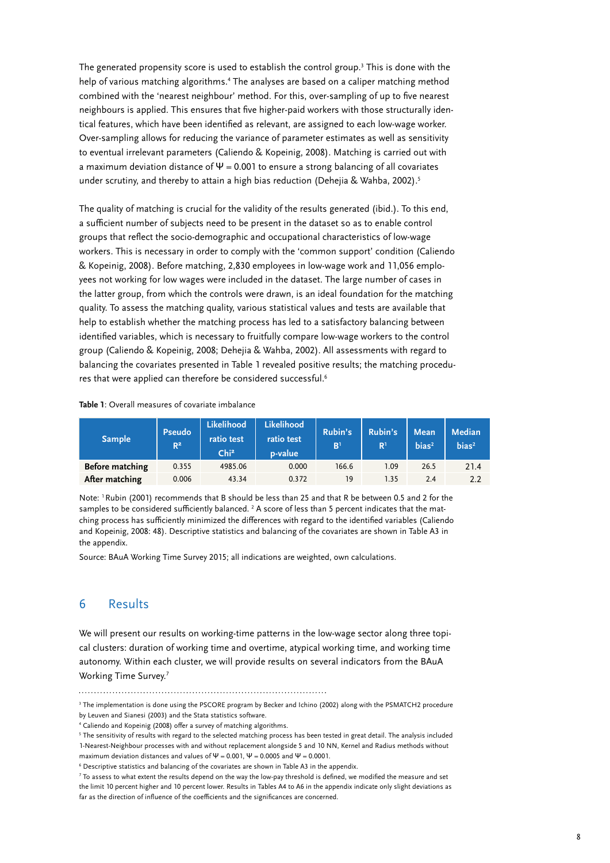<span id="page-7-0"></span>The generated propensity score is used to establish the control group.<sup>3</sup> This is done with the help of various matching algorithms.<sup>4</sup> The analyses are based on a caliper matching method combined with the 'nearest neighbour' method. For this, over-sampling of up to five nearest neighbours is applied. This ensures that five higher-paid workers with those structurally identical features, which have been identified as relevant, are assigned to each low-wage worker. Over-sampling allows for reducing the variance of parameter estimates as well as sensitivity to eventual irrelevant parameters (Caliendo & Kopeinig, 2008). Matching is carried out with a maximum deviation distance of  $\Psi$  = 0.001 to ensure a strong balancing of all covariates under scrutiny, and thereby to attain a high bias reduction (Dehejia & Wahba, 2002).<sup>5</sup>

The quality of matching is crucial for the validity of the results generated (ibid.). To this end, a sufficient number of subjects need to be present in the dataset so as to enable control groups that reflect the socio-demographic and occupational characteristics of low-wage workers. This is necessary in order to comply with the 'common support' condition (Caliendo & Kopeinig, 2008). Before matching, 2,830 employees in low-wage work and 11,056 employees not working for low wages were included in the dataset. The large number of cases in the latter group, from which the controls were drawn, is an ideal foundation for the matching quality. To assess the matching quality, various statistical values and tests are available that help to establish whether the matching process has led to a satisfactory balancing between identified variables, which is necessary to fruitfully compare low-wage workers to the control group (Caliendo & Kopeinig, 2008; Dehejia & Wahba, 2002). All assessments with regard to balancing the covariates presented in Table 1 revealed positive results; the matching procedures that were applied can therefore be considered successful.<sup>6</sup>

#### **Table 1**: Overall measures of covariate imbalance

| Sample <sup>1</sup> | <b>Pseudo</b><br>$R^2$ | <b>Likelihood</b><br>ratio test<br>Chi <sup>2</sup> | <b>Likelihood</b><br>ratio test<br>p-value | Rubin's<br>B <sup>1</sup> | Rubin's<br>R <sup>1</sup> | <b>Mean</b><br>bias <sup>2</sup> | <b>Median</b><br>bias <sup>2</sup> |
|---------------------|------------------------|-----------------------------------------------------|--------------------------------------------|---------------------------|---------------------------|----------------------------------|------------------------------------|
| Before matching     | 0.355                  | 4985.06                                             | 0.000                                      | 166.6                     | 1.09                      | 26.5                             | 21.4                               |
| After matching      | 0.006                  | 43.34                                               | 0.372                                      | 19                        | 1.35                      | 2.4                              | 2.2                                |

Note: 1 Rubin (2001) recommends that B should be less than 25 and that R be between 0.5 and 2 for the samples to be considered sufficiently balanced.  $^2$  A score of less than 5 percent indicates that the matching process has sufficiently minimized the differences with regard to the identified variables (Caliendo and Kopeinig, 2008: 48). Descriptive statistics and balancing of the covariates are shown in Table A3 in the appendix.

Source: BAuA Working Time Survey 2015; all indications are weighted, own calculations.

## 6 Results

We will present our results on working-time patterns in the low-wage sector along three topical clusters: duration of working time and overtime, atypical working time, and working time autonomy. Within each cluster, we will provide results on several indicators from the BAuA Working Time Survey.7

<sup>3</sup> The implementation is done using the PSCORE program by Becker and Ichino (2002) along with the PSMATCH2 procedure by Leuven and Sianesi (2003) and the Stata statistics software.

<sup>4</sup> Caliendo and Kopeinig (2008) offer a survey of matching algorithms.

<sup>&</sup>lt;sup>5</sup> The sensitivity of results with regard to the selected matching process has been tested in great detail. The analysis included 1-Nearest-Neighbour processes with and without replacement alongside 5 and 10 NN, Kernel and Radius methods without

maximum deviation distances and values of  $\Psi$  = 0.001,  $\Psi$  = 0.0005 and  $\Psi$  = 0.0001.

<sup>6</sup> Descriptive statistics and balancing of the covariates are shown in Table A3 in the appendix.

 $^7$  To assess to what extent the results depend on the way the low-pay threshold is defined, we modified the measure and set the limit 10 percent higher and 10 percent lower. Results in Tables A4 to A6 in the appendix indicate only slight deviations as far as the direction of influence of the coefficients and the significances are concerned.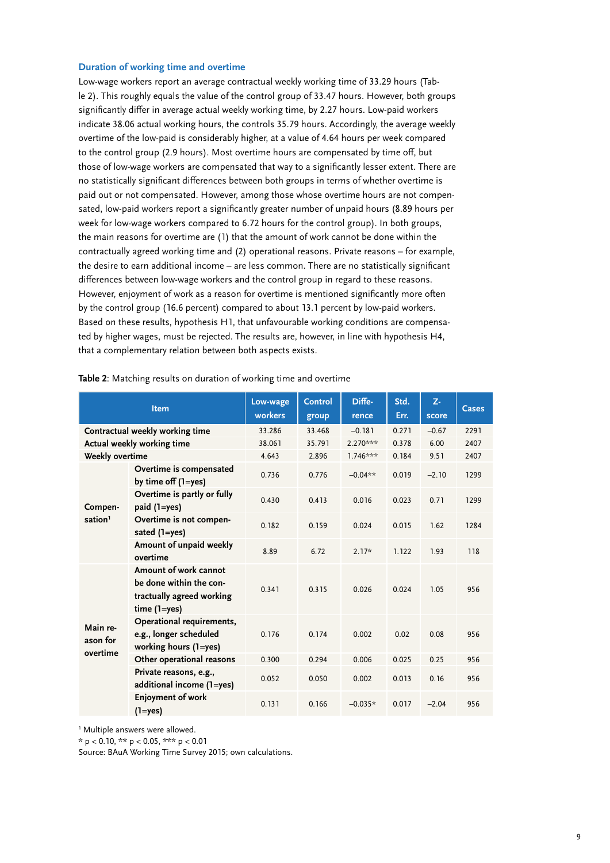#### **Duration of working time and overtime**

Low-wage workers report an average contractual weekly working time of 33.29 hours (Table 2). This roughly equals the value of the control group of 33.47 hours. However, both groups significantly differ in average actual weekly working time, by 2.27 hours. Low-paid workers indicate 38.06 actual working hours, the controls 35.79 hours. Accordingly, the average weekly overtime of the low-paid is considerably higher, at a value of 4.64 hours per week compared to the control group (2.9 hours). Most overtime hours are compensated by time off, but those of low-wage workers are compensated that way to a significantly lesser extent. There are no statistically significant differences between both groups in terms of whether overtime is paid out or not compensated. However, among those whose overtime hours are not compensated, low-paid workers report a significantly greater number of unpaid hours (8.89 hours per week for low-wage workers compared to 6.72 hours for the control group). In both groups, the main reasons for overtime are (1) that the amount of work cannot be done within the contractually agreed working time and (2) operational reasons. Private reasons – for example, the desire to earn additional income – are less common. There are no statistically significant differences between low-wage workers and the control group in regard to these reasons. However, enjoyment of work as a reason for overtime is mentioned significantly more often by the control group (16.6 percent) compared to about 13.1 percent by low-paid workers. Based on these results, hypothesis H1, that unfavourable working conditions are compensated by higher wages, must be rejected. The results are, however, in line with hypothesis H4, that a complementary relation between both aspects exists.

| Item                 |                                                                                                  | Low-wage<br>workers | <b>Control</b><br>group | Diffe-<br>rence | Std.<br>Err. | Z-<br>score | <b>Cases</b> |
|----------------------|--------------------------------------------------------------------------------------------------|---------------------|-------------------------|-----------------|--------------|-------------|--------------|
|                      | Contractual weekly working time                                                                  | 33.286              | 33.468                  | $-0.181$        | 0.271        | $-0.67$     | 2291         |
|                      | Actual weekly working time                                                                       | 38.061              | 35.791                  | 2.270***        | 0.378        | 6.00        | 2407         |
| Weekly overtime      |                                                                                                  | 4.643               | 2.896                   | $1.746***$      | 0.184        | 9.51        | 2407         |
|                      | Overtime is compensated<br>by time off (1=yes)                                                   | 0.736               | 0.776                   | $-0.04**$       | 0.019        | $-2.10$     | 1299         |
| Compen-              | Overtime is partly or fully<br>paid (1=yes)                                                      | 0.430               | 0.413                   | 0.016           | 0.023        | 0.71        | 1299         |
| sation <sup>1</sup>  | Overtime is not compen-<br>sated (1=yes)                                                         | 0.182               | 0.159                   | 0.024           | 0.015        | 1.62        | 1284         |
|                      | Amount of unpaid weekly<br>overtime                                                              | 8.89                | 6.72                    | $2.17*$         | 1.122        | 1.93        | 118          |
|                      | Amount of work cannot<br>be done within the con-<br>tractually agreed working<br>$time(1 = yes)$ | 0.341               | 0.315                   | 0.026           | 0.024        | 1.05        | 956          |
| Main re-<br>ason for | Operational requirements,<br>e.g., longer scheduled<br>working hours (1=yes)                     | 0.176               | 0.174                   | 0.002           | 0.02         | 0.08        | 956          |
| overtime             | Other operational reasons                                                                        | 0.300               | 0.294                   | 0.006           | 0.025        | 0.25        | 956          |
|                      | Private reasons, e.g.,<br>additional income (1=yes)                                              | 0.052               | 0.050                   | 0.002           | 0.013        | 0.16        | 956          |
|                      | <b>Enjoyment of work</b><br>(1=yes)                                                              | 0.131               | 0.166                   | $-0.035*$       | 0.017        | $-2.04$     | 956          |

**Table 2**: Matching results on duration of working time and overtime

1 Multiple answers were allowed.

\* p < 0.10, \*\* p < 0.05, \*\*\* p < 0.01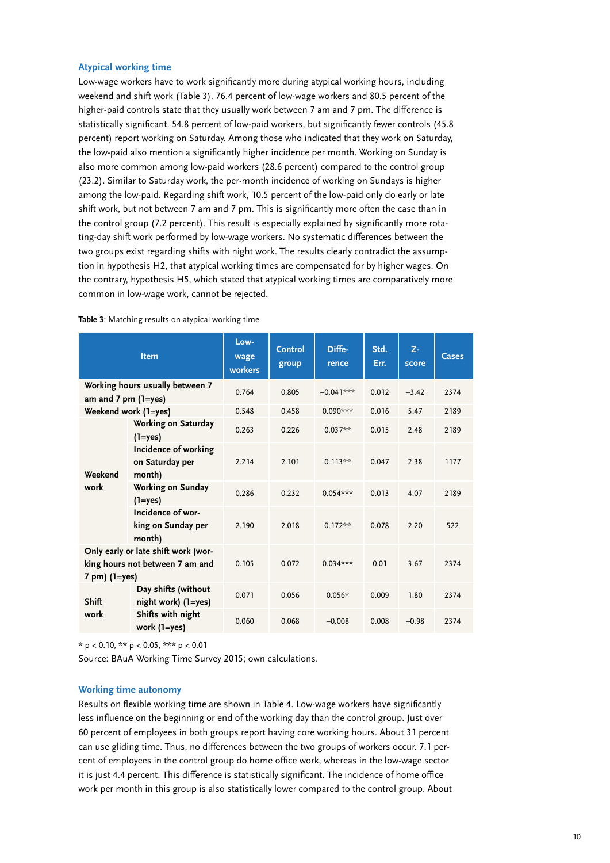#### **Atypical working time**

Low-wage workers have to work significantly more during atypical working hours, including weekend and shift work (Table 3). 76.4 percent of low-wage workers and 80.5 percent of the higher-paid controls state that they usually work between 7 am and 7 pm. The difference is statistically significant. 54.8 percent of low-paid workers, but significantly fewer controls (45.8 percent) report working on Saturday. Among those who indicated that they work on Saturday, the low-paid also mention a significantly higher incidence per month. Working on Sunday is also more common among low-paid workers (28.6 percent) compared to the control group (23.2). Similar to Saturday work, the per-month incidence of working on Sundays is higher among the low-paid. Regarding shift work, 10.5 percent of the low-paid only do early or late shift work, but not between 7 am and 7 pm. This is significantly more often the case than in the control group (7.2 percent). This result is especially explained by significantly more rotating-day shift work performed by low-wage workers. No systematic differences between the two groups exist regarding shifts with night work. The results clearly contradict the assumption in hypothesis H2, that atypical working times are compensated for by higher wages. On the contrary, hypothesis H5, which stated that atypical working times are comparatively more common in low-wage work, cannot be rejected.

|                               | Item                                                                   | Low-<br>wage<br>workers | <b>Control</b><br>group | Diffe-<br>rence | Std.<br>Err. | Z-<br>score | <b>Cases</b> |
|-------------------------------|------------------------------------------------------------------------|-------------------------|-------------------------|-----------------|--------------|-------------|--------------|
| am and $7 \text{ pm}$ (1=yes) | Working hours usually between 7                                        | 0.764                   | 0.805                   | $-0.04$ ]***    | 0.012        | $-3.42$     | 2374         |
|                               | Weekend work (1=yes)                                                   | 0.548                   | 0.458                   | $0.090***$      | 0.016        | 5.47        | 2189         |
| Weekend<br>work               | Working on Saturday<br>$(1 = yes)$                                     | 0.263                   | 0.226                   | $0.037**$       | 0.015        | 2.48        | 2189         |
|                               | Incidence of working<br>on Saturday per<br>month)                      | 2.214                   | 2.101                   | $0.113**$       | 0.047        | 2.38        | 1177         |
|                               | Working on Sunday<br>$(1 = yes)$                                       | 0.286                   | 0.232                   | $0.054***$      | 0.013        | 4.07        | 2189         |
|                               | Incidence of wor-<br>king on Sunday per<br>month)                      | 2.190                   | 2.018                   | $0.172**$       | 0.078        | 2.20        | 522          |
| 7 pm) (1=yes)                 | Only early or late shift work (wor-<br>king hours not between 7 am and | 0.105                   | 0.072                   | $0.034***$      | 0.01         | 3.67        | 2374         |
| <b>Shift</b>                  | Day shifts (without<br>night work) (1=yes)                             | 0.071                   | 0.056                   | $0.056*$        | 0.009        | 1.80        | 2374         |
| work                          | Shifts with night<br>work (1=yes)                                      | 0.060                   | 0.068                   | $-0.008$        | 0.008        | $-0.98$     | 2374         |

**Table 3**: Matching results on atypical working time

 $* p < 0.10, ** p < 0.05, *** p < 0.01$ 

Source: BAuA Working Time Survey 2015; own calculations.

#### **Working time autonomy**

Results on flexible working time are shown in Table 4. Low-wage workers have significantly less influence on the beginning or end of the working day than the control group. Just over 60 percent of employees in both groups report having core working hours. About 31 percent can use gliding time. Thus, no differences between the two groups of workers occur. 7.1 percent of employees in the control group do home office work, whereas in the low-wage sector it is just 4.4 percent. This difference is statistically significant. The incidence of home office work per month in this group is also statistically lower compared to the control group. About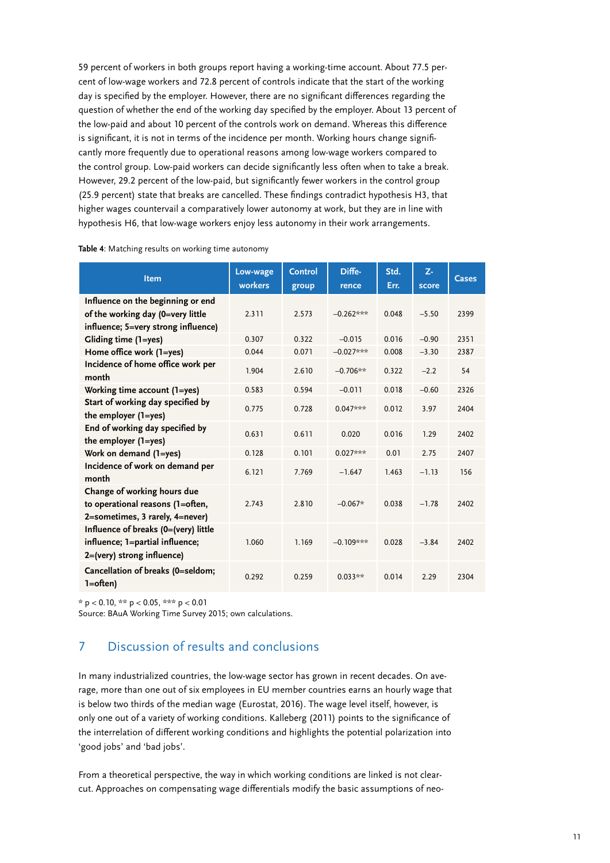<span id="page-10-0"></span>59 percent of workers in both groups report having a working-time account. About 77.5 percent of low-wage workers and 72.8 percent of controls indicate that the start of the working day is specified by the employer. However, there are no significant differences regarding the question of whether the end of the working day specified by the employer. About 13 percent of the low-paid and about 10 percent of the controls work on demand. Whereas this difference is significant, it is not in terms of the incidence per month. Working hours change significantly more frequently due to operational reasons among low-wage workers compared to the control group. Low-paid workers can decide significantly less often when to take a break. However, 29.2 percent of the low-paid, but significantly fewer workers in the control group (25.9 percent) state that breaks are cancelled. These findings contradict hypothesis H3, that higher wages countervail a comparatively lower autonomy at work, but they are in line with hypothesis H6, that low-wage workers enjoy less autonomy in their work arrangements.

| <b>Table 4</b> : Matching results on working time autonomy |  |  |  |
|------------------------------------------------------------|--|--|--|
|------------------------------------------------------------|--|--|--|

| Item                                                                                                          | Low-wage<br>workers | <b>Control</b><br>group | Diffe-<br>rence | Std.<br>Err. | $Z -$<br>score | <b>Cases</b> |
|---------------------------------------------------------------------------------------------------------------|---------------------|-------------------------|-----------------|--------------|----------------|--------------|
| Influence on the beginning or end<br>of the working day (0=very little<br>influence; 5=very strong influence) | 2.311               | 2.573                   | $-0.262***$     | 0.048        | $-5.50$        | 2399         |
| Gliding time (1=yes)                                                                                          | 0.307               | 0.322                   | $-0.015$        | 0.016        | $-0.90$        | 2351         |
| Home office work (1=yes)                                                                                      | 0.044               | 0.071                   | $-0.027***$     | 0.008        | $-3.30$        | 2387         |
| Incidence of home office work per<br>month                                                                    | 1.904               | 2.610                   | $-0.706**$      | 0.322        | $-2.2$         | 54           |
| Working time account (1=yes)                                                                                  | 0.583               | 0.594                   | $-0.011$        | 0.018        | $-0.60$        | 2326         |
| Start of working day specified by<br>the employer (1=yes)                                                     | 0.775               | 0.728                   | $0.047***$      | 0.012        | 3.97           | 2404         |
| End of working day specified by<br>the employer (1=yes)                                                       | 0.631               | 0.611                   | 0.020           | 0.016        | 1.29           | 2402         |
| Work on demand (1=yes)                                                                                        | 0.128               | 0.101                   | $0.027***$      | 0.01         | 2.75           | 2407         |
| Incidence of work on demand per<br>month                                                                      | 6.121               | 7.769                   | $-1.647$        | 1.463        | $-1.13$        | 156          |
| Change of working hours due<br>to operational reasons (1=often,<br>2=sometimes, 3 rarely, 4=never)            | 2.743               | 2.810                   | $-0.067*$       | 0.038        | $-1.78$        | 2402         |
| Influence of breaks (0=(very) little<br>influence; 1=partial influence;<br>2=(very) strong influence)         | 1.060               | 1.169                   | $-0.109***$     | 0.028        | $-3.84$        | 2402         |
| Cancellation of breaks (0=seldom;<br>$1 = often$                                                              | 0.292               | 0.259                   | $0.033**$       | 0.014        | 2.29           | 2304         |

\* p < 0.10, \*\* p < 0.05, \*\*\* p < 0.01

Source: BAuA Working Time Survey 2015; own calculations.

## 7 Discussion of results and conclusions

In many industrialized countries, the low-wage sector has grown in recent decades. On average, more than one out of six employees in EU member countries earns an hourly wage that is below two thirds of the median wage (Eurostat, 2016). The wage level itself, however, is only one out of a variety of working conditions. Kalleberg (2011) points to the significance of the interrelation of different working conditions and highlights the potential polarization into 'good jobs' and 'bad jobs'.

From a theoretical perspective, the way in which working conditions are linked is not clearcut. Approaches on compensating wage differentials modify the basic assumptions of neo-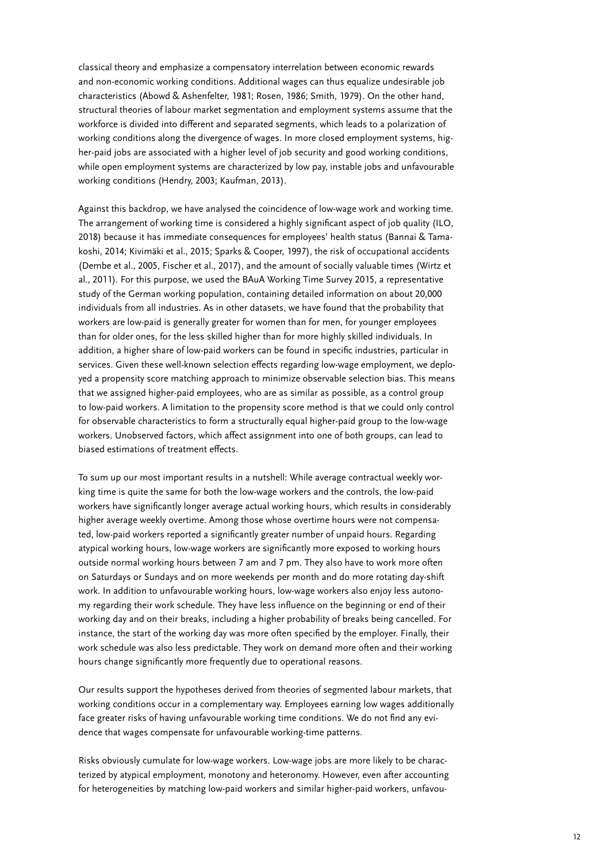classical theory and emphasize a compensatory interrelation between economic rewards and non-economic working conditions. Additional wages can thus equalize undesirable job characteristics (Abowd & Ashenfelter, 1981; Rosen, 1986; Smith, 1979). On the other hand, structural theories of labour market segmentation and employment systems assume that the workforce is divided into different and separated segments, which leads to a polarization of working conditions along the divergence of wages. In more closed employment systems, higher-paid jobs are associated with a higher level of job security and good working conditions, while open employment systems are characterized by low pay, instable jobs and unfavourable working conditions (Hendry, 2003; Kaufman, 2013).

Against this backdrop, we have analysed the coincidence of low-wage work and working time. The arrangement of working time is considered a highly significant aspect of job quality (ILO, 2018) because it has immediate consequences for employees' health status (Bannai & Tamakoshi, 2014; Kivimäki et al., 2015; Sparks & Cooper, 1997), the risk of occupational accidents (Dembe et al., 2005, Fischer et al., 2017), and the amount of socially valuable times (Wirtz et al., 2011). For this purpose, we used the BAuA Working Time Survey 2015, a representative study of the German working population, containing detailed information on about 20,000 individuals from all industries. As in other datasets, we have found that the probability that workers are low-paid is generally greater for women than for men, for younger employees than for older ones, for the less skilled higher than for more highly skilled individuals. In addition, a higher share of low-paid workers can be found in specific industries, particular in services. Given these well-known selection effects regarding low-wage employment, we deployed a propensity score matching approach to minimize observable selection bias. This means that we assigned higher-paid employees, who are as similar as possible, as a control group to low-paid workers. A limitation to the propensity score method is that we could only control for observable characteristics to form a structurally equal higher-paid group to the low-wage workers. Unobserved factors, which affect assignment into one of both groups, can lead to biased estimations of treatment effects.

To sum up our most important results in a nutshell: While average contractual weekly working time is quite the same for both the low-wage workers and the controls, the low-paid workers have significantly longer average actual working hours, which results in considerably higher average weekly overtime. Among those whose overtime hours were not compensated, low-paid workers reported a significantly greater number of unpaid hours. Regarding atypical working hours, low-wage workers are significantly more exposed to working hours outside normal working hours between 7 am and 7 pm. They also have to work more often on Saturdays or Sundays and on more weekends per month and do more rotating day-shift work. In addition to unfavourable working hours, low-wage workers also enjoy less autonomy regarding their work schedule. They have less influence on the beginning or end of their working day and on their breaks, including a higher probability of breaks being cancelled. For instance, the start of the working day was more often specified by the employer. Finally, their work schedule was also less predictable. They work on demand more often and their working hours change significantly more frequently due to operational reasons.

Our results support the hypotheses derived from theories of segmented labour markets, that working conditions occur in a complementary way. Employees earning low wages additionally face greater risks of having unfavourable working time conditions. We do not find any evidence that wages compensate for unfavourable working-time patterns.

Risks obviously cumulate for low-wage workers. Low-wage jobs are more likely to be characterized by atypical employment, monotony and heteronomy. However, even after accounting for heterogeneities by matching low-paid workers and similar higher-paid workers, unfavou-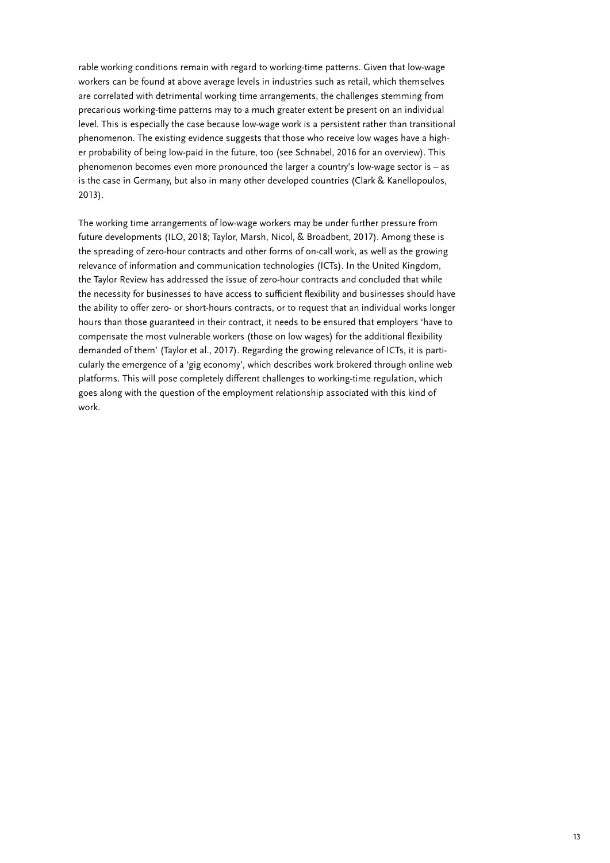rable working conditions remain with regard to working-time patterns. Given that low-wage workers can be found at above average levels in industries such as retail, which themselves are correlated with detrimental working time arrangements, the challenges stemming from precarious working-time patterns may to a much greater extent be present on an individual level. This is especially the case because low-wage work is a persistent rather than transitional phenomenon. The existing evidence suggests that those who receive low wages have a higher probability of being low-paid in the future, too (see Schnabel, 2016 for an overview). This phenomenon becomes even more pronounced the larger a country's low-wage sector is – as is the case in Germany, but also in many other developed countries (Clark & Kanellopoulos, 2013).

The working time arrangements of low-wage workers may be under further pressure from future developments (ILO, 2018; Taylor, Marsh, Nicol, & Broadbent, 2017). Among these is the spreading of zero-hour contracts and other forms of on-call work, as well as the growing relevance of information and communication technologies (ICTs). In the United Kingdom, the Taylor Review has addressed the issue of zero-hour contracts and concluded that while the necessity for businesses to have access to sufficient flexibility and businesses should have the ability to offer zero- or short-hours contracts, or to request that an individual works longer hours than those guaranteed in their contract, it needs to be ensured that employers 'have to compensate the most vulnerable workers (those on low wages) for the additional flexibility demanded of them' (Taylor et al., 2017). Regarding the growing relevance of ICTs, it is particularly the emergence of a 'gig economy', which describes work brokered through online web platforms. This will pose completely different challenges to working-time regulation, which goes along with the question of the employment relationship associated with this kind of work.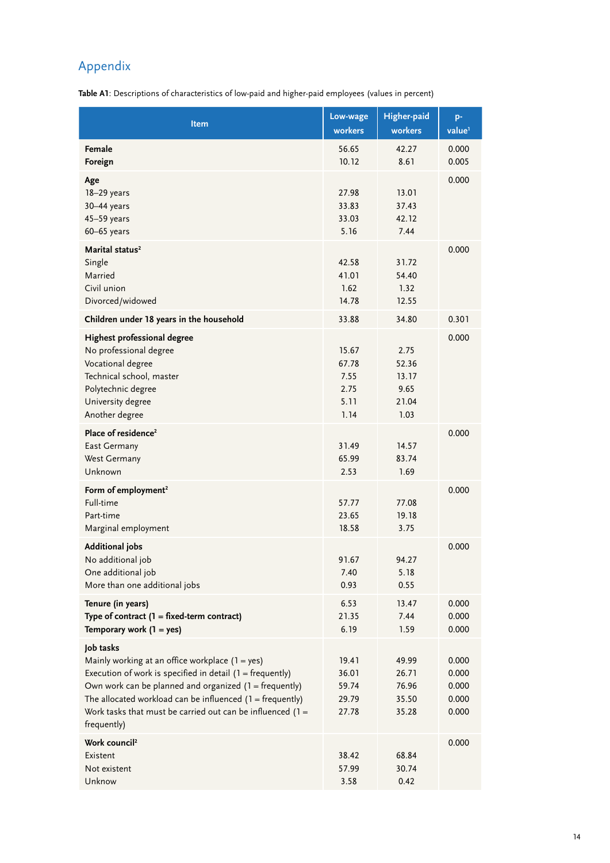## <span id="page-13-0"></span>Appendix

**Table A1**: Descriptions of characteristics of low-paid and higher-paid employees (values in percent)

| Item                                                                                                                                                                                                                                                                                                                                    | Low-wage<br>workers                            | Higher-paid<br>workers                          | p-<br>value <sup>1</sup>                  |
|-----------------------------------------------------------------------------------------------------------------------------------------------------------------------------------------------------------------------------------------------------------------------------------------------------------------------------------------|------------------------------------------------|-------------------------------------------------|-------------------------------------------|
| Female<br>Foreign                                                                                                                                                                                                                                                                                                                       | 56.65<br>10.12                                 | 42.27<br>8.61                                   | 0.000<br>0.005                            |
| Age<br>18-29 years<br>30-44 years<br>$45 - 59$ years<br>$60 - 65$ years                                                                                                                                                                                                                                                                 | 27.98<br>33.83<br>33.03<br>5.16                | 13.01<br>37.43<br>42.12<br>7.44                 | 0.000                                     |
| Marital status <sup>2</sup><br>Single<br>Married<br>Civil union<br>Divorced/widowed                                                                                                                                                                                                                                                     | 42.58<br>41.01<br>1.62<br>14.78                | 31.72<br>54.40<br>1.32<br>12.55                 | 0.000                                     |
| Children under 18 years in the household                                                                                                                                                                                                                                                                                                | 33.88                                          | 34.80                                           | 0.301                                     |
| Highest professional degree<br>No professional degree<br>Vocational degree<br>Technical school, master<br>Polytechnic degree<br>University degree<br>Another degree                                                                                                                                                                     | 15.67<br>67.78<br>7.55<br>2.75<br>5.11<br>1.14 | 2.75<br>52.36<br>13.17<br>9.65<br>21.04<br>1.03 | 0.000                                     |
| Place of residence <sup>2</sup><br>East Germany<br><b>West Germany</b><br>Unknown                                                                                                                                                                                                                                                       | 31.49<br>65.99<br>2.53                         | 14.57<br>83.74<br>1.69                          | 0.000                                     |
| Form of employment <sup>2</sup><br>Full-time<br>Part-time<br>Marginal employment                                                                                                                                                                                                                                                        | 57.77<br>23.65<br>18.58                        | 77.08<br>19.18<br>3.75                          | 0.000                                     |
| <b>Additional jobs</b><br>No additional job<br>One additional job<br>More than one additional jobs                                                                                                                                                                                                                                      | 91.67<br>7.40<br>0.93                          | 94.27<br>5.18<br>0.55                           | 0.000                                     |
| Tenure (in years)<br>Type of contract $(1 = fixed-term contract)$<br>Temporary work $(1 = yes)$                                                                                                                                                                                                                                         | 6.53<br>21.35<br>6.19                          | 13.47<br>7.44<br>1.59                           | 0.000<br>0.000<br>0.000                   |
| Job tasks<br>Mainly working at an office workplace $(1 = yes)$<br>Execution of work is specified in detail $(1 = frequently)$<br>Own work can be planned and organized $(1 = frequently)$<br>The allocated workload can be influenced $(1 = frequently)$<br>Work tasks that must be carried out can be influenced $(1 =$<br>frequently) | 19.41<br>36.01<br>59.74<br>29.79<br>27.78      | 49.99<br>26.71<br>76.96<br>35.50<br>35.28       | 0.000<br>0.000<br>0.000<br>0.000<br>0.000 |
| Work council <sup>2</sup><br>Existent<br>Not existent<br>Unknow                                                                                                                                                                                                                                                                         | 38.42<br>57.99<br>3.58                         | 68.84<br>30.74<br>0.42                          | 0.000                                     |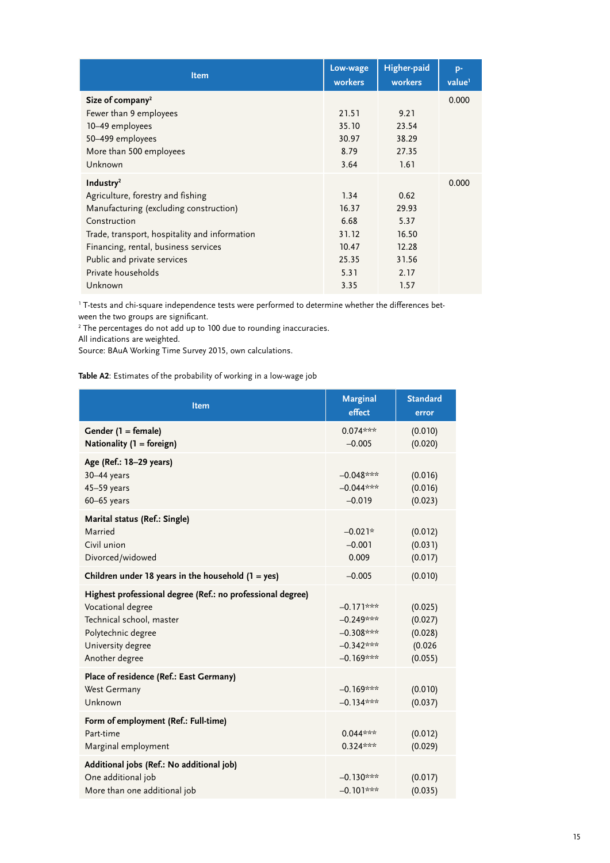| Item                                          | Low-wage<br>workers | Higher-paid<br>workers | p-<br>value <sup>1</sup> |
|-----------------------------------------------|---------------------|------------------------|--------------------------|
| Size of company <sup>2</sup>                  |                     |                        | 0.000                    |
| Fewer than 9 employees                        | 21.51               | 9.21                   |                          |
| 10-49 employees                               | 35.10               | 23.54                  |                          |
| 50-499 employees                              | 30.97               | 38.29                  |                          |
| More than 500 employees                       | 8.79                | 27.35                  |                          |
| Unknown                                       | 3.64                | 1.61                   |                          |
| Industry <sup>2</sup>                         |                     |                        | 0.000                    |
| Agriculture, forestry and fishing             | 1.34                | 0.62                   |                          |
| Manufacturing (excluding construction)        | 16.37               | 29.93                  |                          |
| Construction                                  | 6.68                | 5.37                   |                          |
| Trade, transport, hospitality and information | 31.12               | 16.50                  |                          |
| Financing, rental, business services          | 10.47               | 12.28                  |                          |
| Public and private services                   | 25.35               | 31.56                  |                          |
| Private households                            | 5.31                | 2.17                   |                          |
| Unknown                                       | 3.35                | 1.57                   |                          |

1 T-tests and chi-square independence tests were performed to determine whether the differences between the two groups are significant.

<sup>2</sup> The percentages do not add up to 100 due to rounding inaccuracies.

All indications are weighted.

Source: BAuA Working Time Survey 2015, own calculations.

**Table A2**: Estimates of the probability of working in a low-wage job

| <b>Item</b>                                                                                                                                                              | <b>Marginal</b><br>effect                                               | <b>Standard</b><br>error                            |
|--------------------------------------------------------------------------------------------------------------------------------------------------------------------------|-------------------------------------------------------------------------|-----------------------------------------------------|
| Gender (1 = female)<br>Nationality $(1 = foreign)$                                                                                                                       | $0.074***$<br>$-0.005$                                                  | (0.010)<br>(0.020)                                  |
| Age (Ref.: 18-29 years)<br>30-44 years<br>$45 - 59$ years<br>$60 - 65$ years                                                                                             | $-0.048***$<br>$-0.044***$<br>$-0.019$                                  | (0.016)<br>(0.016)<br>(0.023)                       |
| Marital status (Ref.: Single)<br>Married<br>Civil union<br>Divorced/widowed                                                                                              | $-0.021*$<br>$-0.001$<br>0.009                                          | (0.012)<br>(0.031)<br>(0.017)                       |
| Children under 18 years in the household $(1 = yes)$                                                                                                                     | $-0.005$                                                                | (0.010)                                             |
| Highest professional degree (Ref.: no professional degree)<br>Vocational degree<br>Technical school, master<br>Polytechnic degree<br>University degree<br>Another degree | $-0.171***$<br>$-0.249***$<br>$-0.308***$<br>$-0.342***$<br>$-0.169***$ | (0.025)<br>(0.027)<br>(0.028)<br>(0.026)<br>(0.055) |
| Place of residence (Ref.: East Germany)<br>West Germany<br>Unknown                                                                                                       | $-0.169***$<br>$-0.134***$                                              | (0.010)<br>(0.037)                                  |
| Form of employment (Ref.: Full-time)<br>Part-time<br>Marginal employment                                                                                                 | $0.044***$<br>$0.324***$                                                | (0.012)<br>(0.029)                                  |
| Additional jobs (Ref.: No additional job)<br>One additional job<br>More than one additional job                                                                          | $-0.130***$<br>$-0.101***$                                              | (0.017)<br>(0.035)                                  |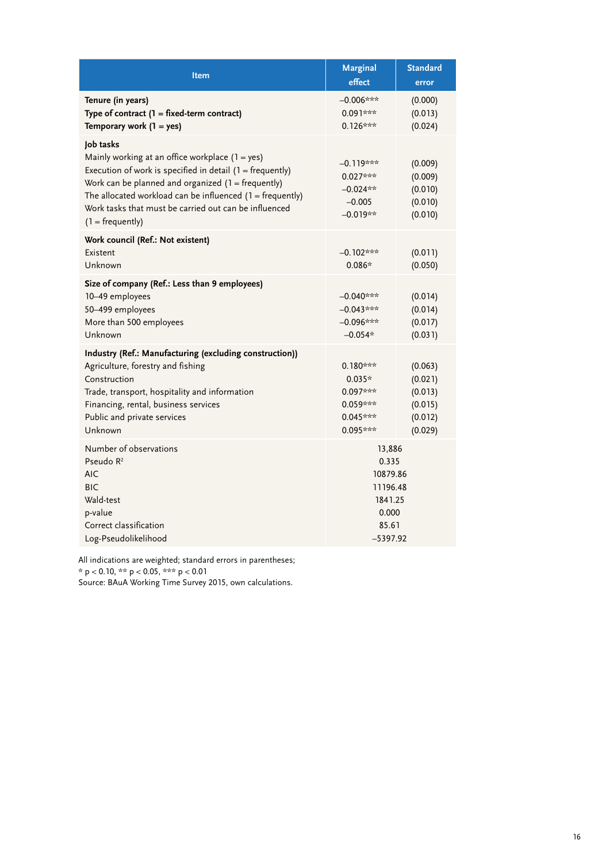| <b>Item</b>                                                                                                                                                                                                                                                                                                                         | <b>Marginal</b><br>effect                                                          | <b>Standard</b><br>error                                       |
|-------------------------------------------------------------------------------------------------------------------------------------------------------------------------------------------------------------------------------------------------------------------------------------------------------------------------------------|------------------------------------------------------------------------------------|----------------------------------------------------------------|
| Tenure (in years)<br>Type of contract $(1 = fixed-term contract)$<br>Temporary work $(1 = yes)$                                                                                                                                                                                                                                     | $-0.006***$<br>0.091***<br>$0.126***$                                              | (0.000)<br>(0.013)<br>(0.024)                                  |
| Job tasks<br>Mainly working at an office workplace $(1 = yes)$<br>Execution of work is specified in detail $(1 = frequently)$<br>Work can be planned and organized $(1 = frequently)$<br>The allocated workload can be influenced $(1 = frequently)$<br>Work tasks that must be carried out can be influenced<br>$(1 = frequently)$ | –0.119***<br>$0.027***$<br>$-0.024**$<br>$-0.005$<br>$-0.019**$                    | (0.009)<br>(0.009)<br>(0.010)<br>(0.010)<br>(0.010)            |
| Work council (Ref.: Not existent)<br>Existent<br>Unknown                                                                                                                                                                                                                                                                            | $-0.102***$<br>$0.086*$                                                            | (0.011)<br>(0.050)                                             |
| Size of company (Ref.: Less than 9 employees)<br>10-49 employees<br>50-499 employees<br>More than 500 employees<br>Unknown                                                                                                                                                                                                          | $-0.040***$<br>$-0.043***$<br>$-0.096***$<br>$-0.054*$                             | (0.014)<br>(0.014)<br>(0.017)<br>(0.031)                       |
| Industry (Ref.: Manufacturing (excluding construction))<br>Agriculture, forestry and fishing<br>Construction<br>Trade, transport, hospitality and information<br>Financing, rental, business services<br>Public and private services<br>Unknown                                                                                     | $0.180***$<br>$0.035*$<br>$0.097***$<br>$0.059***$<br>$0.045***$<br>0.095***       | (0.063)<br>(0.021)<br>(0.013)<br>(0.015)<br>(0.012)<br>(0.029) |
| Number of observations<br>Pseudo R <sup>2</sup><br><b>AIC</b><br><b>BIC</b><br>Wald-test<br>p-value<br>Correct classification<br>Log-Pseudolikelihood                                                                                                                                                                               | 13,886<br>0.335<br>10879.86<br>11196.48<br>1841.25<br>0.000<br>85.61<br>$-5397.92$ |                                                                |

All indications are weighted; standard errors in parentheses;

 $*$  p < 0.10,  $**$  p < 0.05,  $***$  p < 0.01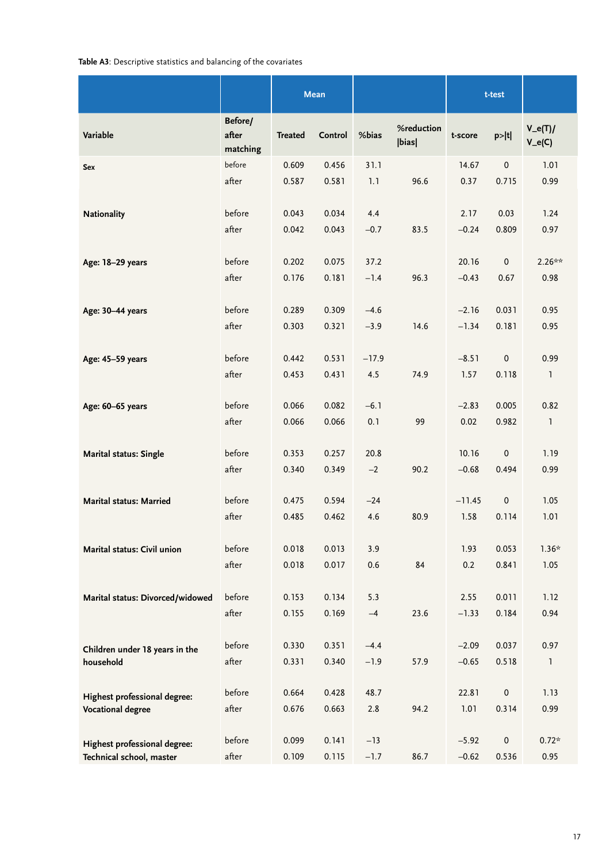#### **Table A3**: Descriptive statistics and balancing of the covariates

|                                                          |                              |                | Mean           |                   |                     |                    | t-test             |                      |
|----------------------------------------------------------|------------------------------|----------------|----------------|-------------------|---------------------|--------------------|--------------------|----------------------|
| Variable                                                 | Before/<br>after<br>matching | <b>Treated</b> | Control        | %bias             | %reduction<br> bias | t-score            | p> t               | $V_e(T)$<br>$V_e(C)$ |
| Sex                                                      | before<br>after              | 0.609<br>0.587 | 0.456<br>0.581 | 31.1<br>1.1       | 96.6                | 14.67<br>0.37      | $\pmb{0}$<br>0.715 | 1.01<br>0.99         |
| <b>Nationality</b>                                       | before<br>after              | 0.043<br>0.042 | 0.034<br>0.043 | 4.4<br>$-0.7$     | 83.5                | 2.17<br>$-0.24$    | 0.03<br>0.809      | 1.24<br>0.97         |
| Age: 18-29 years                                         | before<br>after              | 0.202<br>0.176 | 0.075<br>0.181 | 37.2<br>$-1.4$    | 96.3                | 20.16<br>$-0.43$   | $\pmb{0}$<br>0.67  | $2.26***$<br>0.98    |
| Age: 30-44 years                                         | before                       | 0.289          | 0.309          | $-4.6$            |                     | $-2.16$            | 0.031              | 0.95                 |
| Age: 45-59 years                                         | after<br>before              | 0.303<br>0.442 | 0.321<br>0.531 | $-3.9$<br>$-17.9$ | 14.6                | $-1.34$<br>$-8.51$ | 0.181<br>$\pmb{0}$ | 0.95<br>0.99         |
|                                                          | after                        | 0.453          | 0.431          | 4.5               | 74.9                | 1.57               | 0.118              | $\mathbf{1}$         |
| Age: 60-65 years                                         | before<br>after              | 0.066<br>0.066 | 0.082<br>0.066 | $-6.1$<br>0.1     | 99                  | $-2.83$<br>0.02    | 0.005<br>0.982     | 0.82<br>$\mathbf{1}$ |
| <b>Marital status: Single</b>                            | before<br>after              | 0.353<br>0.340 | 0.257<br>0.349 | 20.8<br>$-2$      | 90.2                | 10.16<br>$-0.68$   | $\pmb{0}$<br>0.494 | 1.19<br>0.99         |
| <b>Marital status: Married</b>                           | before<br>after              | 0.475<br>0.485 | 0.594<br>0.462 | $-24$<br>4.6      | 80.9                | $-11.45$<br>1.58   | $\pmb{0}$<br>0.114 | 1.05<br>1.01         |
| Marital status: Civil union                              | before<br>after              | 0.018<br>0.018 | 0.013<br>0.017 | 3.9<br>0.6        | 84                  | 1.93<br>0.2        | 0.053<br>0.841     | $1.36*$<br>1.05      |
| Marital status: Divorced/widowed                         | before                       | 0.153          | 0.134          | 5.3               |                     | 2.55               | 0.011              | 1.12                 |
|                                                          | after<br>before              | 0.155<br>0.330 | 0.169<br>0.351 | $-4$<br>$-4.4$    | 23.6                | $-1.33$<br>$-2.09$ | 0.184<br>0.037     | 0.94<br>0.97         |
| Children under 18 years in the<br>household              | after                        | 0.331          | 0.340          | $-1.9$            | 57.9                | $-0.65$            | 0.518              | 1                    |
| Highest professional degree:<br><b>Vocational degree</b> | before<br>after              | 0.664<br>0.676 | 0.428<br>0.663 | 48.7<br>2.8       | 94.2                | 22.81<br>1.01      | $\pmb{0}$<br>0.314 | 1.13<br>0.99         |
| Highest professional degree:<br>Technical school, master | before<br>after              | 0.099<br>0.109 | 0.141<br>0.115 | $-13$<br>$-1.7$   | 86.7                | $-5.92$<br>$-0.62$ | $\pmb{0}$<br>0.536 | $0.72*$<br>0.95      |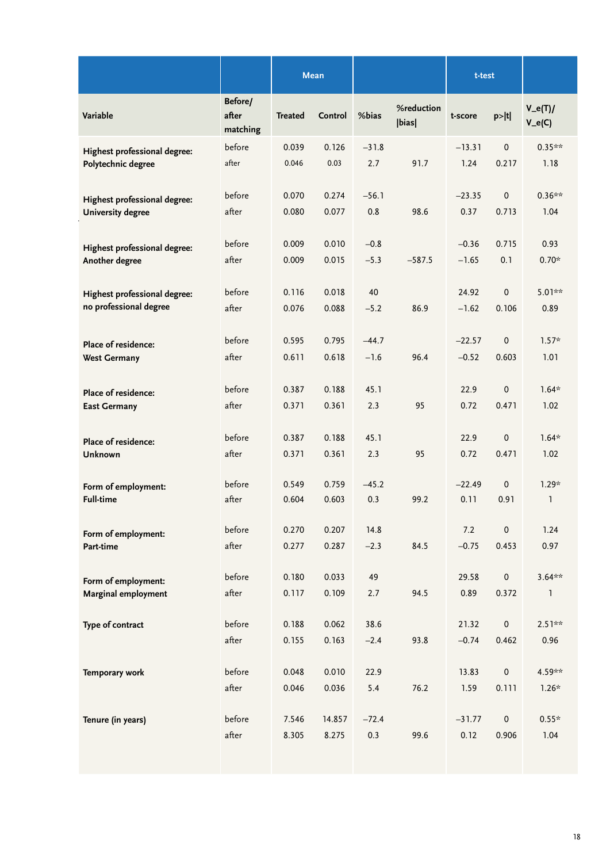|                              |                              |                | <b>Mean</b>     |                |                     | t-test           |                              |                      |
|------------------------------|------------------------------|----------------|-----------------|----------------|---------------------|------------------|------------------------------|----------------------|
| Variable                     | Before/<br>after<br>matching | <b>Treated</b> | Control         | %bias          | %reduction<br> bias | t-score          | p> t                         | $V_e(T)$<br>$V_e(C)$ |
| Highest professional degree: | before                       | 0.039          | 0.126           | $-31.8$        | 91.7                | $-13.31$         | $\pmb{0}$                    | $0.35**$             |
| Polytechnic degree           | after                        | 0.046          | 0.03            | 2.7            |                     | 1.24             | 0.217                        | 1.18                 |
| Highest professional degree: | before                       | 0.070          | 0.274           | $-56.1$        | 98.6                | $-23.35$         | $\pmb{0}$                    | $0.36***$            |
| <b>University degree</b>     | after                        | 0.080          | 0.077           | 0.8            |                     | 0.37             | 0.713                        | 1.04                 |
| Highest professional degree: | before                       | 0.009          | 0.010           | $-0.8$         | $-587.5$            | $-0.36$          | 0.715                        | 0.93                 |
| Another degree               | after                        | 0.009          | 0.015           | $-5.3$         |                     | $-1.65$          | 0.1                          | $0.70*$              |
| Highest professional degree: | before                       | 0.116          | 0.018           | 40             | 86.9                | 24.92            | $\pmb{0}$                    | $5.01**$             |
| no professional degree       | after                        | 0.076          | 0.088           | $-5.2$         |                     | $-1.62$          | 0.106                        | 0.89                 |
| Place of residence:          | before                       | 0.595          | 0.795           | $-44.7$        | 96.4                | $-22.57$         | $\pmb{0}$                    | $1.57*$              |
| <b>West Germany</b>          | after                        | 0.611          | 0.618           | $-1.6$         |                     | $-0.52$          | 0.603                        | 1.01                 |
| Place of residence:          | before                       | 0.387          | 0.188           | 45.1           | 95                  | 22.9             | $\pmb{0}$                    | $1.64*$              |
| <b>East Germany</b>          | after                        | 0.371          | 0.361           | 2.3            |                     | 0.72             | 0.471                        | 1.02                 |
| Place of residence:          | before                       | 0.387          | 0.188           | 45.1           | 95                  | 22.9             | 0                            | $1.64*$              |
| Unknown                      | after                        | 0.371          | 0.361           | 2.3            |                     | 0.72             | 0.471                        | 1.02                 |
| Form of employment:          | before                       | 0.549          | 0.759           | $-45.2$        | 99.2                | $-22.49$         | $\pmb{0}$                    | $1.29*$              |
| <b>Full-time</b>             | after                        | 0.604          | 0.603           | 0.3            |                     | 0.11             | 0.91                         | $\mathbf{1}$         |
| Form of employment:          | before                       | 0.270          | 0.207           | 14.8           | 84.5                | 7.2              | 0                            | 1.24                 |
| Part-time                    | after                        | 0.277          | 0.287           | $-2.3$         |                     | $-0.75$          | 0.453                        | 0.97                 |
| Form of employment:          | before                       | 0.180          | 0.033           | 49             | 94.5                | 29.58            | $\mathsf{O}\xspace$          | $3.64**$             |
| Marginal employment          | after                        | 0.117          | 0.109           | 2.7            |                     | 0.89             | 0.372                        | 1                    |
| Type of contract             | before<br>after              | 0.188<br>0.155 | 0.062<br>0.163  | 38.6<br>$-2.4$ | 93.8                | 21.32<br>$-0.74$ | $\mathsf{O}\xspace$<br>0.462 | $2.51**$<br>0.96     |
| Temporary work               | before<br>after              | 0.048<br>0.046 | 0.010<br>0.036  | 22.9<br>$5.4$  | 76.2                | 13.83<br>1.59    | $\pmb{0}$<br>0.111           | 4.59**<br>$1.26*$    |
| Tenure (in years)            | before<br>after              | 7.546<br>8.305 | 14.857<br>8.275 | $-72.4$<br>0.3 | 99.6                | $-31.77$<br>0.12 | $\mathsf{O}\xspace$<br>0.906 | $0.55*$<br>1.04      |
|                              |                              |                |                 |                |                     |                  |                              |                      |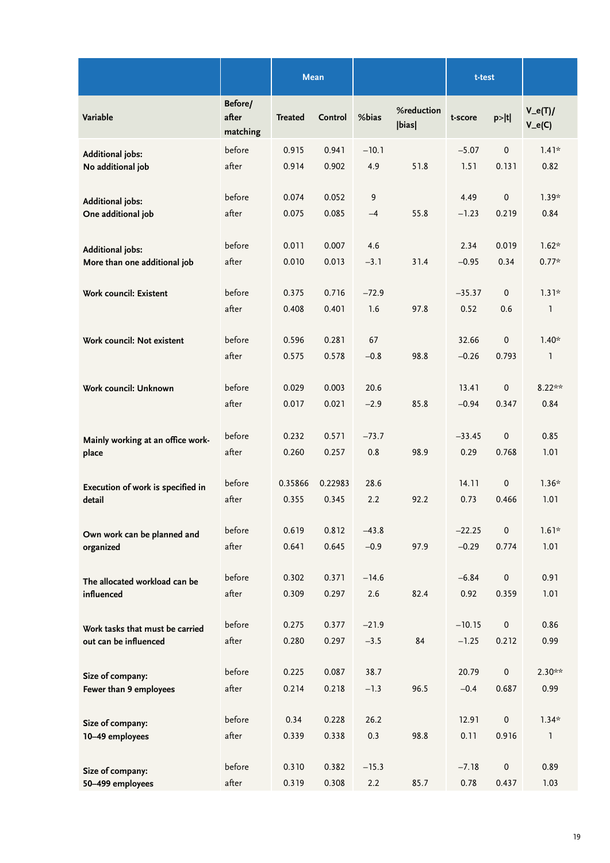|                                                          |                              | <b>Mean</b>    |                |                   |                     | t-test              |                    |                      |
|----------------------------------------------------------|------------------------------|----------------|----------------|-------------------|---------------------|---------------------|--------------------|----------------------|
| Variable                                                 | Before/<br>after<br>matching | <b>Treated</b> | Control        | %bias             | %reduction<br> bias | t-score             | p> t               | $V_e(T)$<br>$V_e(C)$ |
| <b>Additional jobs:</b>                                  | before                       | 0.915          | 0.941          | $-10.1$           |                     | $-5.07$             | $\pmb{0}$          | $1.41*$              |
| No additional job                                        | after                        | 0.914          | 0.902          | 4.9               | 51.8                | 1.51                | 0.131              | 0.82                 |
| <b>Additional jobs:</b>                                  | before                       | 0.074          | 0.052          | $\mathsf 9$       |                     | 4.49                | $\pmb{0}$          | $1.39*$              |
| One additional job                                       | after                        | 0.075          | 0.085          | $-4$              | 55.8                | $-1.23$             | 0.219              | 0.84                 |
|                                                          |                              |                |                |                   |                     |                     |                    |                      |
| <b>Additional jobs:</b>                                  | before                       | 0.011          | 0.007          | 4.6               |                     | 2.34                | 0.019              | $1.62*$              |
| More than one additional job                             | after                        | 0.010          | 0.013          | $-3.1$            | 31.4                | $-0.95$             | 0.34               | $0.77*$              |
| Work council: Existent                                   | before                       | 0.375          | 0.716          | $-72.9$           |                     | $-35.37$            | $\mathbf 0$        | $1.31*$              |
|                                                          | after                        | 0.408          | 0.401          | 1.6               | 97.8                | 0.52                | 0.6                | 1                    |
|                                                          |                              |                |                |                   |                     |                     |                    |                      |
| Work council: Not existent                               | before<br>after              | 0.596<br>0.575 | 0.281<br>0.578 | 67<br>$-0.8$      | 98.8                | 32.66<br>$-0.26$    | 0<br>0.793         | $1.40*$<br>1         |
|                                                          |                              |                |                |                   |                     |                     |                    |                      |
| Work council: Unknown                                    | before                       | 0.029          | 0.003          | 20.6              |                     | 13.41               | $\pmb{0}$          | $8.22**$             |
|                                                          | after                        | 0.017          | 0.021          | $-2.9$            | 85.8                | $-0.94$             | 0.347              | 0.84                 |
|                                                          |                              |                |                |                   |                     |                     |                    |                      |
| Mainly working at an office work-                        | before<br>after              | 0.232          | 0.571          | $-73.7$           |                     | $-33.45$            | $\pmb{0}$          | 0.85                 |
| place                                                    |                              | 0.260          | 0.257          | 0.8               | 98.9                | 0.29                | 0.768              | 1.01                 |
| Execution of work is specified in                        | before                       | 0.35866        | 0.22983        | 28.6              |                     | 14.11               | 0                  | $1.36*$              |
| detail                                                   | after                        | 0.355          | 0.345          | 2.2               | 92.2                | 0.73                | 0.466              | 1.01                 |
|                                                          |                              |                |                |                   |                     |                     |                    |                      |
| Own work can be planned and<br>organized                 | before<br>after              | 0.619<br>0.641 | 0.812<br>0.645 | $-43.8$<br>$-0.9$ | 97.9                | $-22.25$<br>$-0.29$ | $\pmb{0}$<br>0.774 | $1.61*$<br>1.01      |
|                                                          |                              |                |                |                   |                     |                     |                    |                      |
| The allocated workload can be                            | before                       | 0.302          | 0.371          | $-14.6$           |                     | $-6.84$             | $\pmb{0}$          | 0.91                 |
| influenced                                               | after                        | 0.309          | 0.297          | 2.6               | 82.4                | 0.92                | 0.359              | 1.01                 |
|                                                          | before                       | 0.275          | 0.377          | $-21.9$           |                     | $-10.15$            | $\pmb{0}$          | 0.86                 |
| Work tasks that must be carried<br>out can be influenced | after                        | 0.280          | 0.297          | $-3.5$            | 84                  | $-1.25$             | 0.212              | 0.99                 |
|                                                          |                              |                |                |                   |                     |                     |                    |                      |
| Size of company:<br>Fewer than 9 employees               | before                       | 0.225          | 0.087          | 38.7              |                     | 20.79               | $\pmb{0}$          | $2.30**$             |
|                                                          | after                        | 0.214          | 0.218          | $-1.3$            | 96.5                | $-0.4$              | 0.687              | 0.99                 |
| Size of company:                                         | before                       | 0.34           | 0.228          | 26.2              |                     | 12.91               | $\pmb{0}$          | $1.34*$              |
| 10-49 employees                                          | after                        | 0.339          | 0.338          | 0.3               | 98.8                | 0.11                | 0.916              | <b>I</b>             |
|                                                          |                              |                |                |                   |                     |                     |                    |                      |
| Size of company:                                         | before                       | 0.310          | 0.382          | $-15.3$           |                     | $-7.18$             | $\pmb{0}$          | 0.89                 |
| 50-499 employees                                         | after                        | 0.319          | 0.308          | 2.2               | 85.7                | 0.78                | 0.437              | 1.03                 |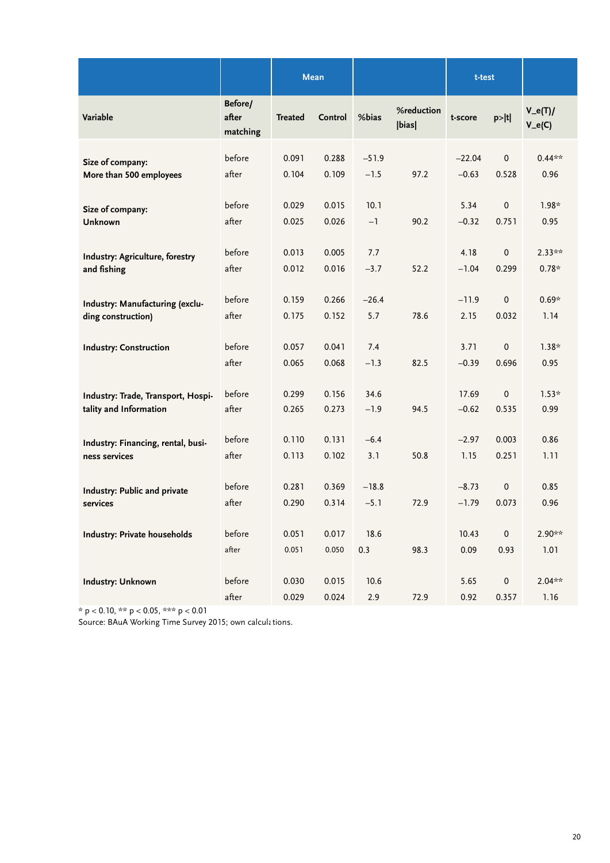|                                     |                              |                | Mean           |               |                     | t-test          |                      |                      |
|-------------------------------------|------------------------------|----------------|----------------|---------------|---------------------|-----------------|----------------------|----------------------|
| Variable                            | Before/<br>after<br>matching | <b>Treated</b> | Control        | %bias         | %reduction<br> bias | t-score         | p> t                 | $V_e(T)$<br>$V_e(C)$ |
| Size of company:                    | before                       | 0.091          | 0.288          | $-51.9$       | 97.2                | $-22.04$        | $\pmb{0}$            | $0.44**$             |
| More than 500 employees             | after                        | 0.104          | 0.109          | $-1.5$        |                     | $-0.63$         | 0.528                | 0.96                 |
| Size of company:                    | before                       | 0.029          | 0.015          | 10.1          | 90.2                | 5.34            | $\pmb{0}$            | $1.98*$              |
| Unknown                             | after                        | 0.025          | 0.026          | $-1$          |                     | $-0.32$         | 0.751                | 0.95                 |
| Industry: Agriculture, forestry     | before                       | 0.013          | 0.005          | 7.7           | 52.2                | 4.18            | $\pmb{0}$            | $2.33**$             |
| and fishing                         | after                        | 0.012          | 0.016          | $-3.7$        |                     | $-1.04$         | 0.299                | $0.78*$              |
| Industry: Manufacturing (exclu-     | before                       | 0.159          | 0.266          | $-26.4$       | 78.6                | $-11.9$         | $\mathbf 0$          | $0.69*$              |
| ding construction)                  | after                        | 0.175          | 0.152          | 5.7           |                     | 2.15            | 0.032                | 1.14                 |
| <b>Industry: Construction</b>       | before<br>after              | 0.057<br>0.065 | 0.041<br>0.068 | 7.4<br>$-1.3$ | 82.5                | 3.71<br>$-0.39$ | $\mathbf 0$<br>0.696 | $1.38*$<br>0.95      |
| Industry: Trade, Transport, Hospi-  | before                       | 0.299          | 0.156          | 34.6          | 94.5                | 17.69           | $\mathbf 0$          | $1.53*$              |
| tality and Information              | after                        | 0.265          | 0.273          | $-1.9$        |                     | $-0.62$         | 0.535                | 0.99                 |
| Industry: Financing, rental, busi-  | before                       | 0.110          | 0.131          | $-6.4$        | 50.8                | $-2.97$         | 0.003                | 0.86                 |
| ness services                       | after                        | 0.113          | 0.102          | 3.1           |                     | 1.15            | 0.251                | 1.11                 |
| Industry: Public and private        | before                       | 0.281          | 0.369          | $-18.8$       | 72.9                | $-8.73$         | $\pmb{0}$            | 0.85                 |
| services                            | after                        | 0.290          | 0.314          | $-5.1$        |                     | $-1.79$         | 0.073                | 0.96                 |
| <b>Industry: Private households</b> | before<br>after              | 0.051<br>0.051 | 0.017<br>0.050 | 18.6<br>0.3   | 98.3                | 10.43<br>0.09   | $\pmb{0}$<br>0.93    | 2.90**<br>1.01       |
| <b>Industry: Unknown</b>            | before<br>after              | 0.030<br>0.029 | 0.015<br>0.024 | 10.6<br>2.9   | 72.9                | 5.65<br>0.92    | $\pmb{0}$<br>0.357   | $2.04**$<br>1.16     |

\* p < 0.10, \*\* p < 0.05, \*\*\* p < 0.01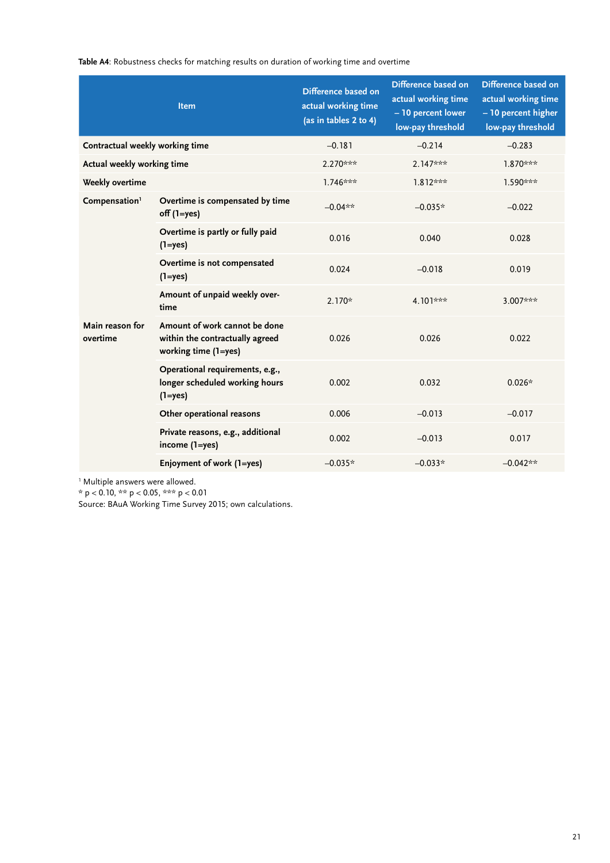**Table A4**: Robustness checks for matching results on duration of working time and overtime

|                                 | <b>Item</b>                                                                              | Difference based on<br>actual working time<br>(as in tables 2 to 4) | Difference based on<br>actual working time<br>- 10 percent lower<br>low-pay threshold | Difference based on<br>actual working time<br>- 10 percent higher<br>low-pay threshold |
|---------------------------------|------------------------------------------------------------------------------------------|---------------------------------------------------------------------|---------------------------------------------------------------------------------------|----------------------------------------------------------------------------------------|
| Contractual weekly working time |                                                                                          | $-0.181$                                                            | $-0.214$                                                                              | $-0.283$                                                                               |
| Actual weekly working time      |                                                                                          | 2.270***                                                            | $2.147***$                                                                            | 1.870***                                                                               |
| Weekly overtime                 |                                                                                          | $1.746***$                                                          | $1.812***$                                                                            | 1.590***                                                                               |
| Compensation <sup>1</sup>       | Overtime is compensated by time<br>$off (1 = yes)$                                       | $-0.04**$                                                           | $-0.035*$                                                                             | $-0.022$                                                                               |
|                                 | Overtime is partly or fully paid<br>$(1 = yes)$                                          | 0.016                                                               | 0.040                                                                                 | 0.028                                                                                  |
|                                 | Overtime is not compensated<br>$(1 = yes)$                                               | 0.024                                                               | $-0.018$                                                                              | 0.019                                                                                  |
|                                 | Amount of unpaid weekly over-<br>time                                                    | $2.170*$                                                            | 4.101***                                                                              | 3.007***                                                                               |
| Main reason for<br>overtime     | Amount of work cannot be done<br>within the contractually agreed<br>working time (1=yes) | 0.026                                                               | 0.026                                                                                 | 0.022                                                                                  |
|                                 | Operational requirements, e.g.,<br>longer scheduled working hours<br>$(1 = yes)$         | 0.002                                                               | 0.032                                                                                 | $0.026*$                                                                               |
|                                 | Other operational reasons                                                                | 0.006                                                               | $-0.013$                                                                              | $-0.017$                                                                               |
|                                 | Private reasons, e.g., additional<br>income (1=yes)                                      | 0.002                                                               | $-0.013$                                                                              | 0.017                                                                                  |
|                                 | Enjoyment of work (1=yes)                                                                | $-0.035*$                                                           | $-0.033*$                                                                             | $-0.042**$                                                                             |

1 Multiple answers were allowed.

\* p < 0.10, \*\* p < 0.05, \*\*\* p < 0.01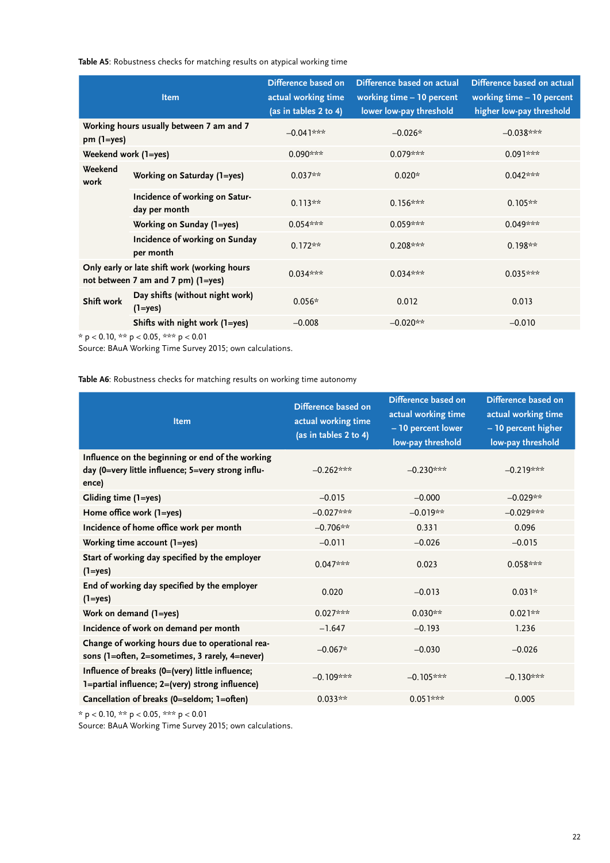**Table A5**: Robustness checks for matching results on atypical working time

|                      | <b>Item</b>                                                                                                                                                                    | Difference based on<br>actual working time<br>(as in tables 2 to 4) | Difference based on actual<br>working time - 10 percent<br>lower low-pay threshold | Difference based on actual<br>working time - 10 percent<br>higher low-pay threshold |
|----------------------|--------------------------------------------------------------------------------------------------------------------------------------------------------------------------------|---------------------------------------------------------------------|------------------------------------------------------------------------------------|-------------------------------------------------------------------------------------|
| $pm(1=yes)$          | Working hours usually between 7 am and 7                                                                                                                                       | $-0.04$ ]***                                                        | $-0.026*$                                                                          | $-0.038***$                                                                         |
| Weekend work (1=yes) |                                                                                                                                                                                | $0.090***$                                                          | $0.079***$                                                                         | $0.091***$                                                                          |
| Weekend<br>work      | Working on Saturday (1=yes)                                                                                                                                                    | $0.037**$                                                           | $0.020*$                                                                           | $0.042***$                                                                          |
|                      | Incidence of working on Satur-<br>day per month                                                                                                                                | $0.113**$                                                           | $0.156***$                                                                         | $0.105**$                                                                           |
|                      | Working on Sunday (1=yes)                                                                                                                                                      | $0.054***$                                                          | $0.059***$                                                                         | $0.049***$                                                                          |
|                      | Incidence of working on Sunday<br>per month                                                                                                                                    | $0.172**$                                                           | $0.208***$                                                                         | $0.198**$                                                                           |
|                      | Only early or late shift work (working hours<br>not between 7 am and 7 pm) (1=yes)                                                                                             | $0.034***$                                                          | $0.034***$                                                                         | $0.035***$                                                                          |
| Shift work           | Day shifts (without night work)<br>$(1 = yes)$                                                                                                                                 | $0.056*$                                                            | 0.012                                                                              | 0.013                                                                               |
|                      | Shifts with night work (1=yes)<br>$\bigcap_{n=1}^{\infty}$ and $\bigcap_{n=1}^{\infty}$ and $\bigcap_{n=1}^{\infty}$ and $\bigcap_{n=1}^{\infty}$ and $\bigcap_{n=1}^{\infty}$ | $-0.008$                                                            | $-0.020**$                                                                         | $-0.010$                                                                            |

 $^{\star}$  p < 0.10,  $^{\star\star\star}$  p < 0.05,  $^{\star\star\star\star}$  p < 0.01

Source: BAuA Working Time Survey 2015; own calculations.

**Table A6**: Robustness checks for matching results on working time autonomy

| <b>Item</b>                                                                                                     | Difference based on<br>actual working time<br>(as in tables 2 to 4) | Difference based on<br>actual working time<br>- 10 percent lower<br>low-pay threshold | Difference based on<br>actual working time<br>- 10 percent higher<br>low-pay threshold |
|-----------------------------------------------------------------------------------------------------------------|---------------------------------------------------------------------|---------------------------------------------------------------------------------------|----------------------------------------------------------------------------------------|
| Influence on the beginning or end of the working<br>day (0=very little influence; 5=very strong influ-<br>ence) | $-0.262***$                                                         | $-0.230***$                                                                           | $-0.219***$                                                                            |
| Gliding time (1=yes)                                                                                            | $-0.015$                                                            | $-0.000$                                                                              | $-0.029**$                                                                             |
| Home office work (1=yes)                                                                                        | $-0.027***$                                                         | $-0.019**$                                                                            | $-0.029***$                                                                            |
| Incidence of home office work per month                                                                         | $-0.706**$                                                          | 0.331                                                                                 | 0.096                                                                                  |
| Working time account (1=yes)                                                                                    | $-0.011$                                                            | $-0.026$                                                                              | $-0.015$                                                                               |
| Start of working day specified by the employer<br>$(1 = yes)$                                                   | $0.047***$                                                          | 0.023                                                                                 | $0.058***$                                                                             |
| End of working day specified by the employer<br>$(1 = yes)$                                                     | 0.020                                                               | $-0.013$                                                                              | $0.031*$                                                                               |
| Work on demand (1=yes)                                                                                          | $0.027***$                                                          | $0.030**$                                                                             | $0.021**$                                                                              |
| Incidence of work on demand per month                                                                           | $-1.647$                                                            | $-0.193$                                                                              | 1.236                                                                                  |
| Change of working hours due to operational rea-<br>sons (1=often, 2=sometimes, 3 rarely, 4=never)               | $-0.067*$                                                           | $-0.030$                                                                              | $-0.026$                                                                               |
| Influence of breaks (0=(very) little influence;<br>1=partial influence; 2=(very) strong influence)              | $-0.109***$                                                         | $-0.105***$                                                                           | $-0.130***$                                                                            |
| Cancellation of breaks (0=seldom; 1=often)                                                                      | $0.033**$                                                           | $0.051***$                                                                            | 0.005                                                                                  |

\* p < 0.10, \*\* p < 0.05, \*\*\* p < 0.01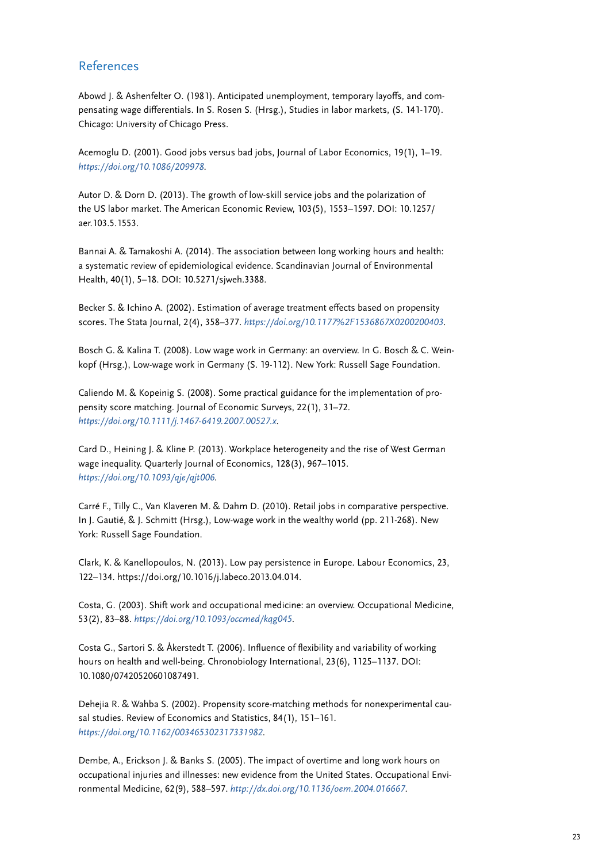#### <span id="page-22-0"></span>References

Abowd J. & Ashenfelter O. (1981). Anticipated unemployment, temporary layoffs, and compensating wage differentials. In S. Rosen S. (Hrsg.), Studies in labor markets, (S. 141-170). Chicago: University of Chicago Press.

Acemoglu D. (2001). Good jobs versus bad jobs, Journal of Labor Economics, 19(1), 1–19. *<https://doi.org/10.1086/209978>*.

Autor D. & Dorn D. (2013). The growth of low-skill service jobs and the polarization of the US labor market. The American Economic Review, 103(5), 1553–1597. DOI: 10.1257/ aer.103.5.1553.

Bannai A. & Tamakoshi A. (2014). The association between long working hours and health: a systematic review of epidemiological evidence. Scandinavian Journal of Environmental Health, 40(1), 5–18. DOI: 10.5271/sjweh.3388.

Becker S. & Ichino A. (2002). Estimation of average treatment effects based on propensity scores. The Stata Journal, 2(4), 358–377. *<https://doi.org/10.1177%2F1536867X0200200403>*.

Bosch G. & Kalina T. (2008). Low wage work in Germany: an overview. In G. Bosch & C. Weinkopf (Hrsg.), Low-wage work in Germany (S. 19-112). New York: Russell Sage Foundation.

Caliendo M. & Kopeinig S. (2008). Some practical guidance for the implementation of propensity score matching. Journal of Economic Surveys, 22(1), 31–72. *<https://doi.org/10.1111/j.1467-6419.2007.00527.x>*.

Card D., Heining J. & Kline P. (2013). Workplace heterogeneity and the rise of West German wage inequality. Quarterly Journal of Economics, 128(3), 967–1015. *<https://doi.org/10.1093/qje/qjt006>*.

Carré F., Tilly C., Van Klaveren M. & Dahm D. (2010). Retail jobs in comparative perspective. In J. Gautié, & J. Schmitt (Hrsg.), Low-wage work in the wealthy world (pp. 211-268). New York: Russell Sage Foundation.

Clark, K. & Kanellopoulos, N. (2013). Low pay persistence in Europe. Labour Economics, 23, 122–134. https://doi.org/10.1016/j.labeco.2013.04.014.

Costa, G. (2003). Shift work and occupational medicine: an overview. Occupational Medicine, 53(2), 83–88. *<https://doi.org/10.1093/occmed/kqg045>*.

Costa G., Sartori S. & Åkerstedt T. (2006). Influence of flexibility and variability of working hours on health and well-being. Chronobiology International, 23(6), 1125–1137. DOI: 10.1080/07420520601087491.

Dehejia R. & Wahba S. (2002). Propensity score-matching methods for nonexperimental causal studies. Review of Economics and Statistics, 84(1), 151–161. *<https://doi.org/10.1162/003465302317331982>*.

Dembe, A., Erickson J. & Banks S. (2005). The impact of overtime and long work hours on occupational injuries and illnesses: new evidence from the United States. Occupational Environmental Medicine, 62(9), 588–597. *<http://dx.doi.org/10.1136/oem.2004.016667>*.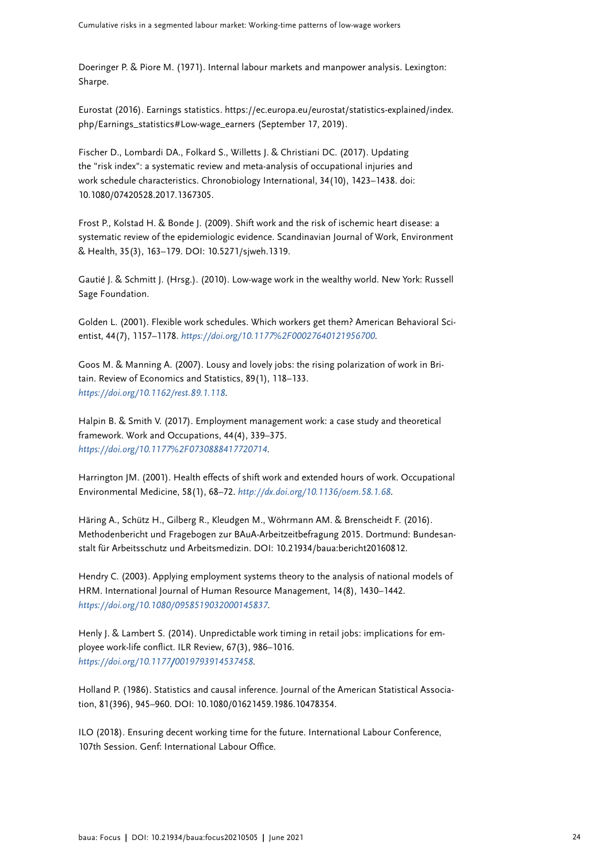Doeringer P. & Piore M. (1971). Internal labour markets and manpower analysis. Lexington: Sharpe.

Eurostat (2016). Earnings statistics. https://ec.europa.eu/eurostat/statistics-explained/index. php/Earnings\_statistics#Low-wage\_earners (September 17, 2019).

Fischer D., Lombardi DA., Folkard S., Willetts J. & Christiani DC. (2017). Updating the "risk index": a systematic review and meta-analysis of occupational injuries and work schedule characteristics. Chronobiology International, 34(10), 1423–1438. doi: 10.1080/07420528.2017.1367305.

Frost P., Kolstad H. & Bonde J. (2009). Shift work and the risk of ischemic heart disease: a systematic review of the epidemiologic evidence. Scandinavian Journal of Work, Environment & Health, 35(3), 163–179. DOI: 10.5271/sjweh.1319.

Gautié J. & Schmitt J. (Hrsg.). (2010). Low-wage work in the wealthy world. New York: Russell Sage Foundation.

Golden L. (2001). Flexible work schedules. Which workers get them? American Behavioral Scientist, 44(7), 1157–1178. *<https://doi.org/10.1177%2F00027640121956700>*.

Goos M. & Manning A. (2007). Lousy and lovely jobs: the rising polarization of work in Britain. Review of Economics and Statistics, 89(1), 118–133. *<https://doi.org/10.1162/rest.89.1.118>*.

Halpin B. & Smith V. (2017). Employment management work: a case study and theoretical framework. Work and Occupations, 44(4), 339–375. *<https://doi.org/10.1177%2F0730888417720714>*.

Harrington JM. (2001). Health effects of shift work and extended hours of work. Occupational Environmental Medicine, 58(1), 68–72. *<http://dx.doi.org/10.1136/oem.58.1.68>*.

Häring A., Schütz H., Gilberg R., Kleudgen M., Wöhrmann AM. & Brenscheidt F. (2016). Methodenbericht und Fragebogen zur BAuA-Arbeitzeitbefragung 2015. Dortmund: Bundesanstalt für Arbeitsschutz und Arbeitsmedizin. DOI: 10.21934/baua:bericht20160812.

Hendry C. (2003). Applying employment systems theory to the analysis of national models of HRM. International Journal of Human Resource Management, 14(8), 1430–1442. *<https://doi.org/10.1080/0958519032000145837>*.

Henly J. & Lambert S. (2014). Unpredictable work timing in retail jobs: implications for employee work-life conflict. ILR Review, 67(3), 986–1016. *https://doi.org/10.1177/0019793914537458*.

Holland P. (1986). Statistics and causal inference. Journal of the American Statistical Association, 81(396), 945–960. DOI: 10.1080/01621459.1986.10478354.

ILO (2018). Ensuring decent working time for the future. International Labour Conference, 107th Session. Genf: International Labour Office.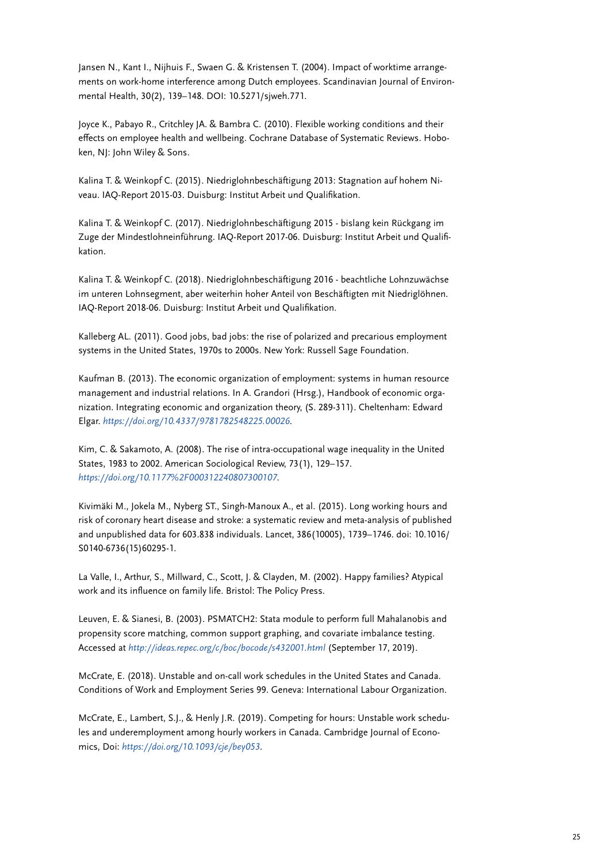Jansen N., Kant I., Nijhuis F., Swaen G. & Kristensen T. (2004). Impact of worktime arrangements on work-home interference among Dutch employees. Scandinavian Journal of Environmental Health, 30(2), 139–148. DOI: 10.5271/sjweh.771.

Joyce K., Pabayo R., Critchley JA. & Bambra C. (2010). Flexible working conditions and their effects on employee health and wellbeing. Cochrane Database of Systematic Reviews. Hoboken, NJ: John Wiley & Sons.

Kalina T. & Weinkopf C. (2015). Niedriglohnbeschäftigung 2013: Stagnation auf hohem Niveau. IAQ-Report 2015-03. Duisburg: Institut Arbeit und Qualifikation.

Kalina T. & Weinkopf C. (2017). Niedriglohnbeschäftigung 2015 - bislang kein Rückgang im Zuge der Mindestlohneinführung. IAQ-Report 2017-06. Duisburg: Institut Arbeit und Qualifikation.

Kalina T. & Weinkopf C. (2018). Niedriglohnbeschäftigung 2016 - beachtliche Lohnzuwächse im unteren Lohnsegment, aber weiterhin hoher Anteil von Beschäftigten mit Niedriglöhnen. IAQ-Report 2018-06. Duisburg: Institut Arbeit und Qualifikation.

Kalleberg AL. (2011). Good jobs, bad jobs: the rise of polarized and precarious employment systems in the United States, 1970s to 2000s. New York: Russell Sage Foundation.

Kaufman B. (2013). The economic organization of employment: systems in human resource management and industrial relations. In A. Grandori (Hrsg.), Handbook of economic organization. Integrating economic and organization theory, (S. 289-311). Cheltenham: Edward Elgar. *<https://doi.org/10.4337/9781782548225.00026>*.

Kim, C. & Sakamoto, A. (2008). The rise of intra-occupational wage inequality in the United States, 1983 to 2002. American Sociological Review, 73(1), 129–157. *<https://doi.org/10.1177%2F000312240807300107>*.

Kivimäki M., Jokela M., Nyberg ST., Singh-Manoux A., et al. (2015). Long working hours and risk of coronary heart disease and stroke: a systematic review and meta-analysis of published and unpublished data for 603.838 individuals. Lancet, 386(10005), 1739–1746. doi: 10.1016/ S0140-6736(15)60295-1.

La Valle, I., Arthur, S., Millward, C., Scott, J. & Clayden, M. (2002). Happy families? Atypical work and its influence on family life. Bristol: The Policy Press.

Leuven, E. & Sianesi, B. (2003). PSMATCH2: Stata module to perform full Mahalanobis and propensity score matching, common support graphing, and covariate imbalance testing. Accessed at *<http://ideas.repec.org/c/boc/bocode/s432001.html>* (September 17, 2019).

McCrate, E. (2018). Unstable and on-call work schedules in the United States and Canada. Conditions of Work and Employment Series 99. Geneva: International Labour Organization.

McCrate, E., Lambert, S.J., & Henly J.R. (2019). Competing for hours: Unstable work schedules and underemployment among hourly workers in Canada. Cambridge Journal of Economics, Doi: *<https://doi.org/10.1093/cje/bey053>*.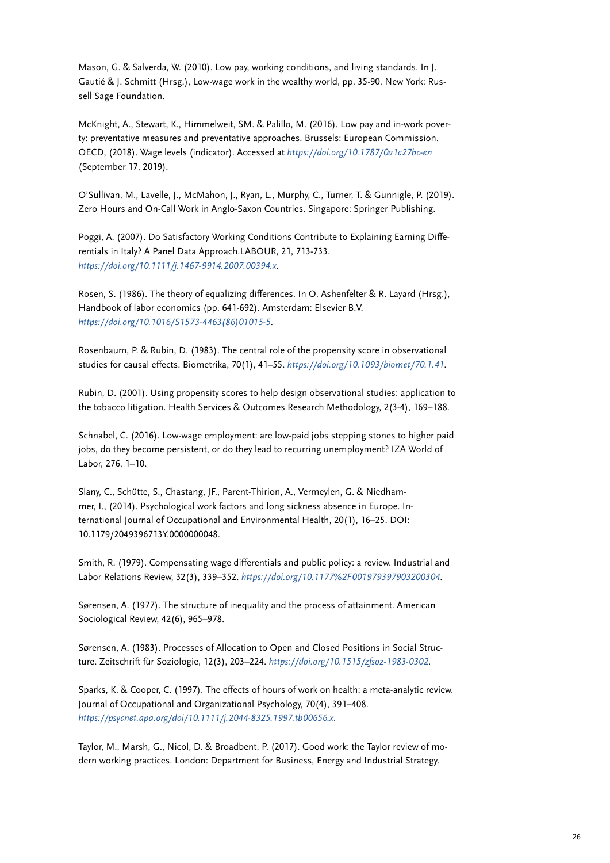Mason, G. & Salverda, W. (2010). Low pay, working conditions, and living standards. In J. Gautié & J. Schmitt (Hrsg.), Low-wage work in the wealthy world, pp. 35-90. New York: Russell Sage Foundation.

McKnight, A., Stewart, K., Himmelweit, SM. & Palillo, M. (2016). Low pay and in-work poverty: preventative measures and preventative approaches. Brussels: European Commission. OECD, (2018). Wage levels (indicator). Accessed at *<https://doi.org/10.1787/0a1c27bc-en>* (September 17, 2019).

O'Sullivan, M., Lavelle, J., McMahon, J., Ryan, L., Murphy, C., Turner, T. & Gunnigle, P. (2019). Zero Hours and On-Call Work in Anglo-Saxon Countries. Singapore: Springer Publishing.

Poggi, A. (2007). Do Satisfactory Working Conditions Contribute to Explaining Earning Differentials in Italy? A Panel Data Approach.LABOUR, 21, 713-733. *<https://doi.org/10.1111/j.1467-9914.2007.00394.x>*.

Rosen, S. (1986). The theory of equalizing differences. In O. Ashenfelter & R. Layard (Hrsg.), Handbook of labor economics (pp. 641-692). Amsterdam: Elsevier B.V. *[https://doi.org/10.1016/S1573-4463\(86\)01015-5](https://doi.org/10.1016/S1573-4463(86)01015-5)*.

Rosenbaum, P. & Rubin, D. (1983). The central role of the propensity score in observational studies for causal effects. Biometrika, 70(1), 41–55. *<https://doi.org/10.1093/biomet/70.1.41>*.

Rubin, D. (2001). Using propensity scores to help design observational studies: application to the tobacco litigation. Health Services & Outcomes Research Methodology, 2(3-4), 169–188.

Schnabel, C. (2016). Low-wage employment: are low-paid jobs stepping stones to higher paid jobs, do they become persistent, or do they lead to recurring unemployment? IZA World of Labor, 276, 1–10.

Slany, C., Schütte, S., Chastang, JF., Parent-Thirion, A., Vermeylen, G. & Niedhammer, I., (2014). Psychological work factors and long sickness absence in Europe. International Journal of Occupational and Environmental Health, 20(1), 16–25. DOI: 10.1179/2049396713Y.0000000048.

Smith, R. (1979). Compensating wage differentials and public policy: a review. Industrial and Labor Relations Review, 32(3), 339–352. *<https://doi.org/10.1177%2F001979397903200304>*.

Sørensen, A. (1977). The structure of inequality and the process of attainment. American Sociological Review, 42(6), 965–978.

Sørensen, A. (1983). Processes of Allocation to Open and Closed Positions in Social Structure. Zeitschrift für Soziologie, 12(3), 203–224. *<https://doi.org/10.1515/zfsoz-1983-0302>*.

Sparks, K. & Cooper, C. (1997). The effects of hours of work on health: a meta-analytic review. Journal of Occupational and Organizational Psychology, 70(4), 391–408. *<https://psycnet.apa.org/doi/10.1111/j.2044-8325.1997.tb00656.x>*.

Taylor, M., Marsh, G., Nicol, D. & Broadbent, P. (2017). Good work: the Taylor review of modern working practices. London: Department for Business, Energy and Industrial Strategy.